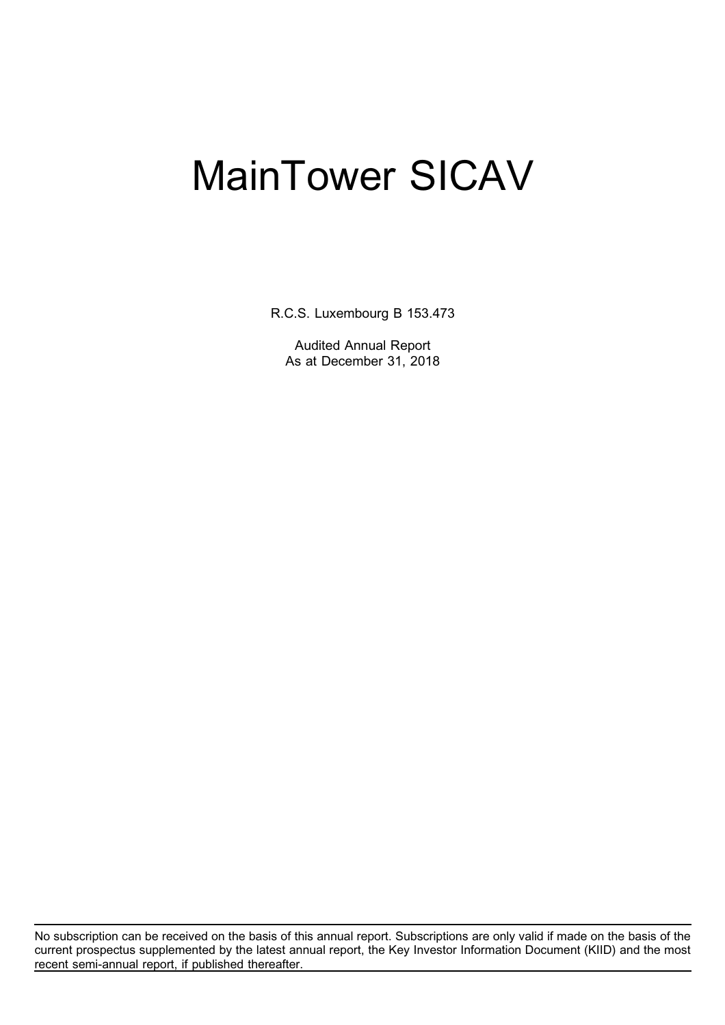R.C.S. Luxembourg B 153.473

Audited Annual Report As at December 31, 2018

No subscription can be received on the basis of this annual report. Subscriptions are only valid if made on the basis of the current prospectus supplemented by the latest annual report, the Key Investor Information Document (KIID) and the most recent semi-annual report, if published thereafter.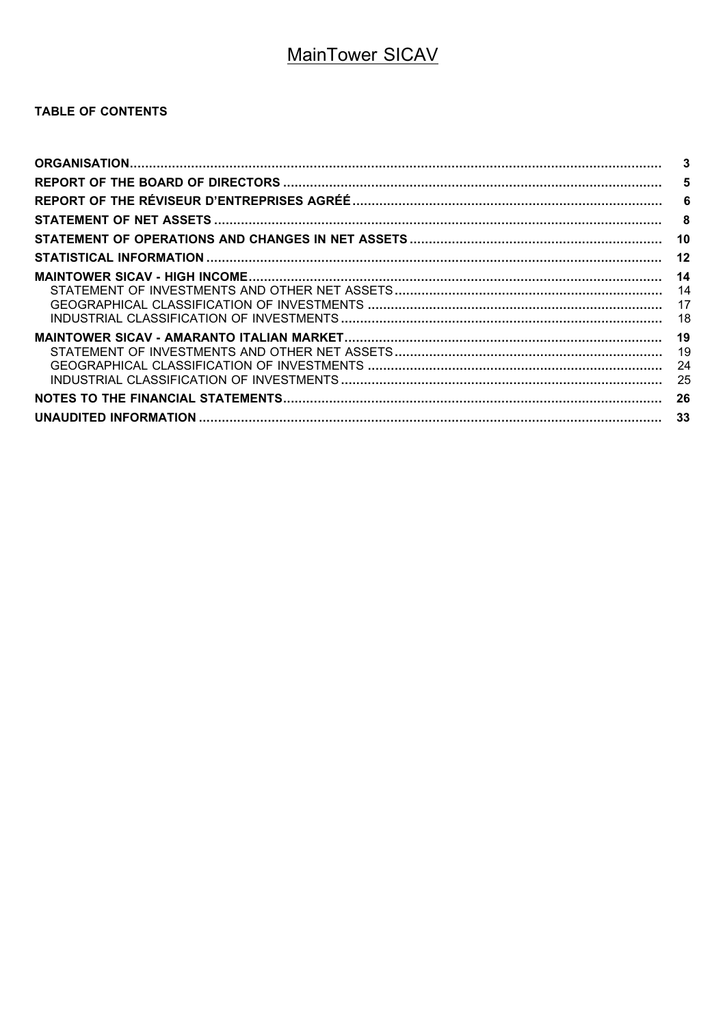### TABLE OF CONTENTS

| $\mathbf{3}$ |
|--------------|
| 5            |
|              |
| -8           |
| 10           |
| 12           |
| 14           |
| 14           |
|              |
|              |
| 19           |
| 19           |
| 24           |
| 25           |
| 26           |
| -33          |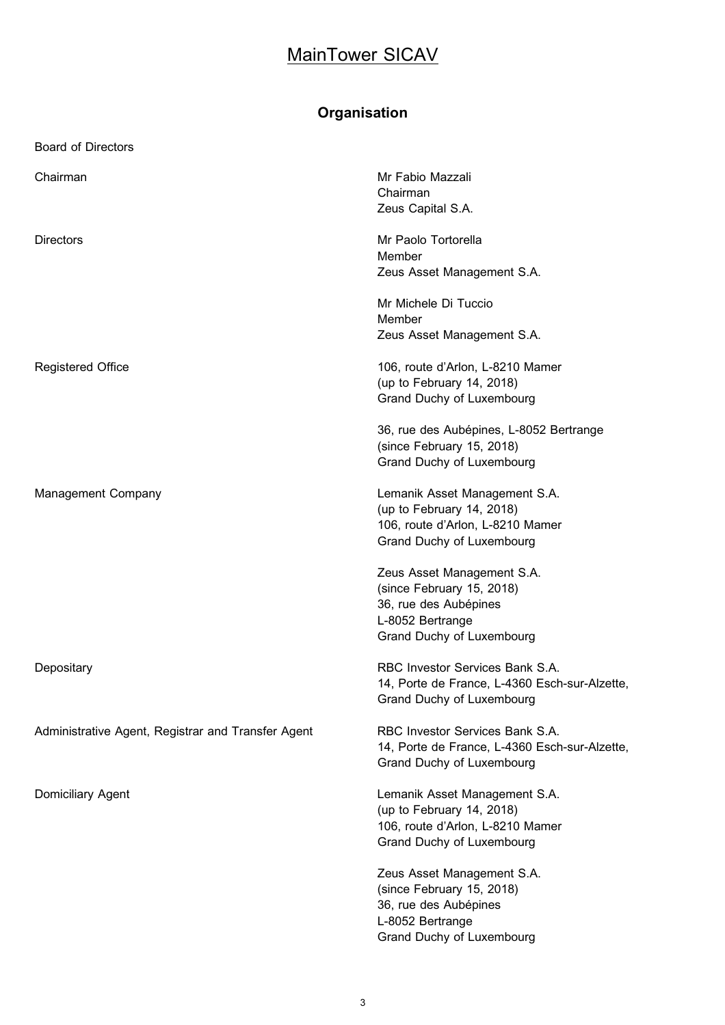# **Organisation**

| <b>Board of Directors</b>                          |                                                                                                                                   |
|----------------------------------------------------|-----------------------------------------------------------------------------------------------------------------------------------|
| Chairman                                           | Mr Fabio Mazzali<br>Chairman<br>Zeus Capital S.A.                                                                                 |
| <b>Directors</b>                                   | Mr Paolo Tortorella<br>Member<br>Zeus Asset Management S.A.                                                                       |
|                                                    | Mr Michele Di Tuccio<br>Member<br>Zeus Asset Management S.A.                                                                      |
| <b>Registered Office</b>                           | 106, route d'Arlon, L-8210 Mamer<br>(up to February 14, 2018)<br>Grand Duchy of Luxembourg                                        |
|                                                    | 36, rue des Aubépines, L-8052 Bertrange<br>(since February 15, 2018)<br>Grand Duchy of Luxembourg                                 |
| <b>Management Company</b>                          | Lemanik Asset Management S.A.<br>(up to February 14, 2018)<br>106, route d'Arlon, L-8210 Mamer<br>Grand Duchy of Luxembourg       |
|                                                    | Zeus Asset Management S.A.<br>(since February 15, 2018)<br>36, rue des Aubépines<br>L-8052 Bertrange<br>Grand Duchy of Luxembourg |
| Depositary                                         | RBC Investor Services Bank S.A.<br>14, Porte de France, L-4360 Esch-sur-Alzette,<br>Grand Duchy of Luxembourg                     |
| Administrative Agent, Registrar and Transfer Agent | RBC Investor Services Bank S.A.<br>14, Porte de France, L-4360 Esch-sur-Alzette,<br>Grand Duchy of Luxembourg                     |
| Domiciliary Agent                                  | Lemanik Asset Management S.A.<br>(up to February 14, 2018)<br>106, route d'Arlon, L-8210 Mamer<br>Grand Duchy of Luxembourg       |
|                                                    | Zeus Asset Management S.A.<br>(since February 15, 2018)<br>36, rue des Aubépines<br>L-8052 Bertrange<br>Grand Duchy of Luxembourg |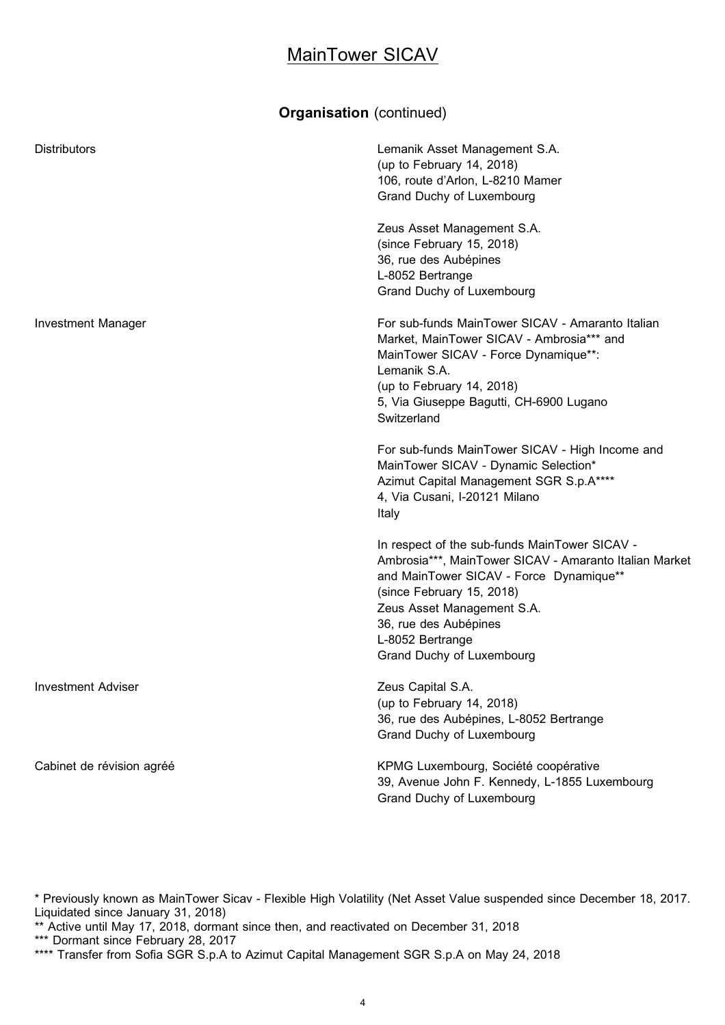### **Organisation** (continued)

| <b>Distributors</b>       | Lemanik Asset Management S.A.<br>(up to February 14, 2018)<br>106, route d'Arlon, L-8210 Mamer<br>Grand Duchy of Luxembourg                                                                                                                                                             |
|---------------------------|-----------------------------------------------------------------------------------------------------------------------------------------------------------------------------------------------------------------------------------------------------------------------------------------|
|                           | Zeus Asset Management S.A.<br>(since February 15, 2018)<br>36, rue des Aubépines<br>L-8052 Bertrange<br>Grand Duchy of Luxembourg                                                                                                                                                       |
| <b>Investment Manager</b> | For sub-funds MainTower SICAV - Amaranto Italian<br>Market, MainTower SICAV - Ambrosia*** and<br>MainTower SICAV - Force Dynamique**:<br>Lemanik S.A.<br>(up to February 14, 2018)<br>5, Via Giuseppe Bagutti, CH-6900 Lugano<br>Switzerland                                            |
|                           | For sub-funds MainTower SICAV - High Income and<br>MainTower SICAV - Dynamic Selection*<br>Azimut Capital Management SGR S.p.A****<br>4, Via Cusani, I-20121 Milano<br>Italy                                                                                                            |
|                           | In respect of the sub-funds MainTower SICAV -<br>Ambrosia***, MainTower SICAV - Amaranto Italian Market<br>and MainTower SICAV - Force Dynamique**<br>(since February 15, 2018)<br>Zeus Asset Management S.A.<br>36, rue des Aubépines<br>L-8052 Bertrange<br>Grand Duchy of Luxembourg |
| <b>Investment Adviser</b> | Zeus Capital S.A.<br>(up to February 14, 2018)<br>36, rue des Aubépines, L-8052 Bertrange<br>Grand Duchy of Luxembourg                                                                                                                                                                  |
| Cabinet de révision agréé | KPMG Luxembourg, Société coopérative<br>39, Avenue John F. Kennedy, L-1855 Luxembourg<br>Grand Duchy of Luxembourg                                                                                                                                                                      |

\* Previously known as MainTower Sicav - Flexible High Volatility (Net Asset Value suspended since December 18, 2017. Liquidated since January 31, 2018)

\*\* Active until May 17, 2018, dormant since then, and reactivated on December 31, 2018 \*\*\* Dormant since February 28, 2017

\*\*\*\* Transfer from Sofia SGR S.p.A to Azimut Capital Management SGR S.p.A on May 24, 2018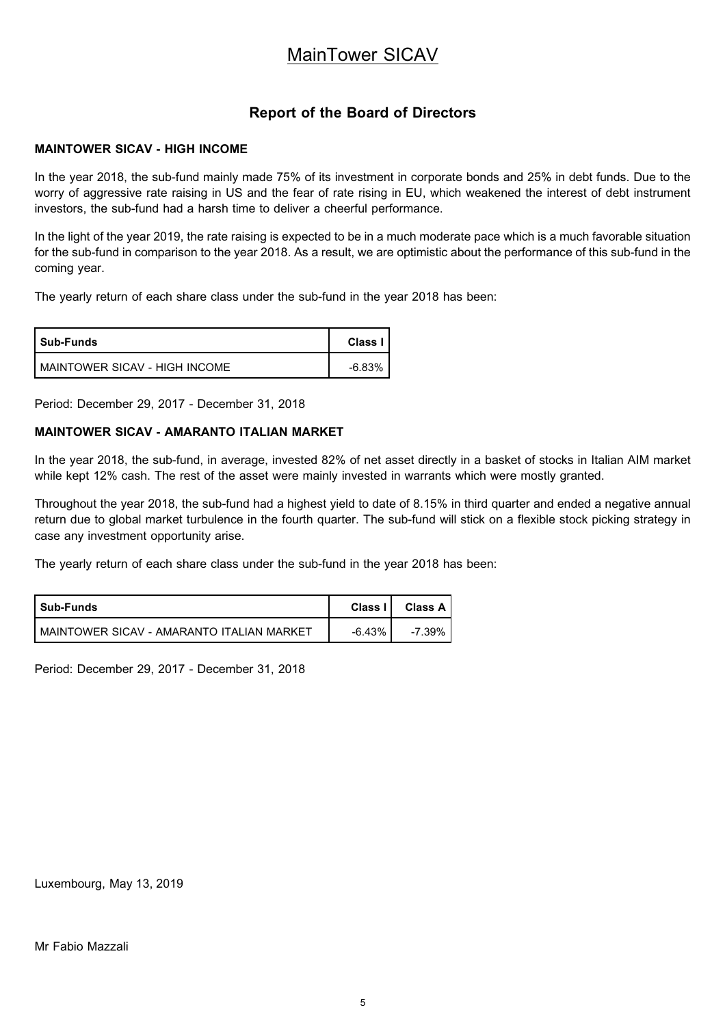### **Report of the Board of Directors**

### **MAINTOWER SICAV - HIGH INCOME**

In the year 2018, the sub-fund mainly made 75% of its investment in corporate bonds and 25% in debt funds. Due to the worry of aggressive rate raising in US and the fear of rate rising in EU, which weakened the interest of debt instrument investors, the sub-fund had a harsh time to deliver a cheerful performance.

In the light of the year 2019, the rate raising is expected to be in a much moderate pace which is a much favorable situation for the sub-fund in comparison to the year 2018. As a result, we are optimistic about the performance of this sub-fund in the coming year.

The yearly return of each share class under the sub-fund in the year 2018 has been:

| <b>Sub-Funds</b>                | <b>Class</b> |
|---------------------------------|--------------|
| I MAINTOWER SICAV - HIGH INCOME | $-6.83%$     |

Period: December 29, 2017 - December 31, 2018

### **MAINTOWER SICAV - AMARANTO ITALIAN MARKET**

In the year 2018, the sub-fund, in average, invested 82% of net asset directly in a basket of stocks in Italian AIM market while kept 12% cash. The rest of the asset were mainly invested in warrants which were mostly granted.

Throughout the year 2018, the sub-fund had a highest yield to date of 8.15% in third quarter and ended a negative annual return due to global market turbulence in the fourth quarter. The sub-fund will stick on a flexible stock picking strategy in case any investment opportunity arise.

The yearly return of each share class under the sub-fund in the year 2018 has been:

| <b>Sub-Funds</b>                            | Class I I | Class A I |
|---------------------------------------------|-----------|-----------|
| ! MAINTOWER SICAV - AMARANTO ITALIAN MARKET | $-6.43%$  | -7.39%    |

Period: December 29, 2017 - December 31, 2018

Luxembourg, May 13, 2019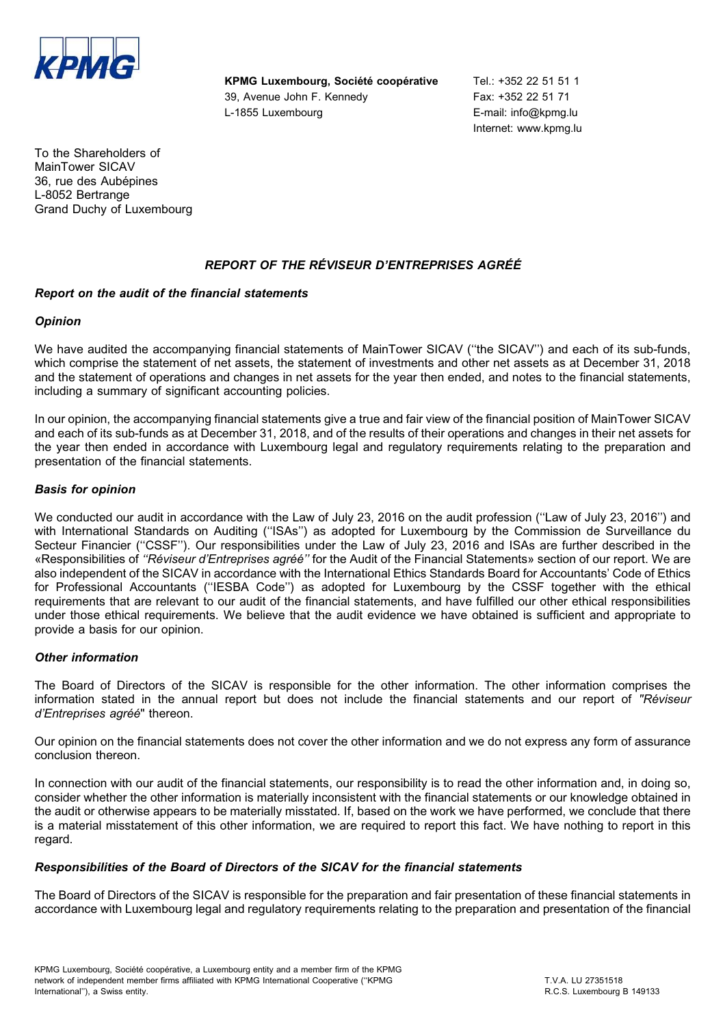

**KPMG Luxembourg, Société coopérative Tel.: +352 22 51 51 1** 39, Avenue John F. Kennedy Fax: +352 22 51 71 L-1855 Luxembourg **E-mail:** info@kpmg.lu

Internet: www.kpmg.lu

To the Shareholders of MainTower SICAV 36, rue des Aubépines L-8052 Bertrange Grand Duchy of Luxembourg

### *REPORT OF THE RE´VISEUR D'ENTREPRISES AGRE´E´*

### *Report on the audit of the financial statements*

### *Opinion*

We have audited the accompanying financial statements of MainTower SICAV (''the SICAV'') and each of its sub-funds, which comprise the statement of net assets, the statement of investments and other net assets as at December 31, 2018 and the statement of operations and changes in net assets for the year then ended, and notes to the financial statements, including a summary of significant accounting policies.

In our opinion, the accompanying financial statements give a true and fair view of the financial position of MainTower SICAV and each of its sub-funds as at December 31, 2018, and of the results of their operations and changes in their net assets for the year then ended in accordance with Luxembourg legal and regulatory requirements relating to the preparation and presentation of the financial statements.

### *Basis for opinion*

We conducted our audit in accordance with the Law of July 23, 2016 on the audit profession ("Law of July 23, 2016") and with International Standards on Auditing ("ISAs") as adopted for Luxembourg by the Commission de Surveillance du Secteur Financier ("CSSF"). Our responsibilities under the Law of July 23, 2016 and ISAs are further described in the «Responsibilities of "Réviseur d'Entreprises agréé" for the Audit of the Financial Statements» section of our report. We are also independent of the SICAV in accordance with the International Ethics Standards Board for Accountants' Code of Ethics for Professional Accountants (''IESBA Code'') as adopted for Luxembourg by the CSSF together with the ethical requirements that are relevant to our audit of the financial statements, and have fulfilled our other ethical responsibilities under those ethical requirements. We believe that the audit evidence we have obtained is sufficient and appropriate to provide a basis for our opinion.

#### *Other information*

The Board of Directors of the SICAV is responsible for the other information. The other information comprises the information stated in the annual report but does not include the financial statements and our report of "Réviseur *d'Entreprises agréé*" thereon.

Our opinion on the financial statements does not cover the other information and we do not express any form of assurance conclusion thereon.

In connection with our audit of the financial statements, our responsibility is to read the other information and, in doing so, consider whether the other information is materially inconsistent with the financial statements or our knowledge obtained in the audit or otherwise appears to be materially misstated. If, based on the work we have performed, we conclude that there is a material misstatement of this other information, we are required to report this fact. We have nothing to report in this regard.

### *Responsibilities of the Board of Directors of the SICAV for the financial statements*

The Board of Directors of the SICAV is responsible for the preparation and fair presentation of these financial statements in accordance with Luxembourg legal and regulatory requirements relating to the preparation and presentation of the financial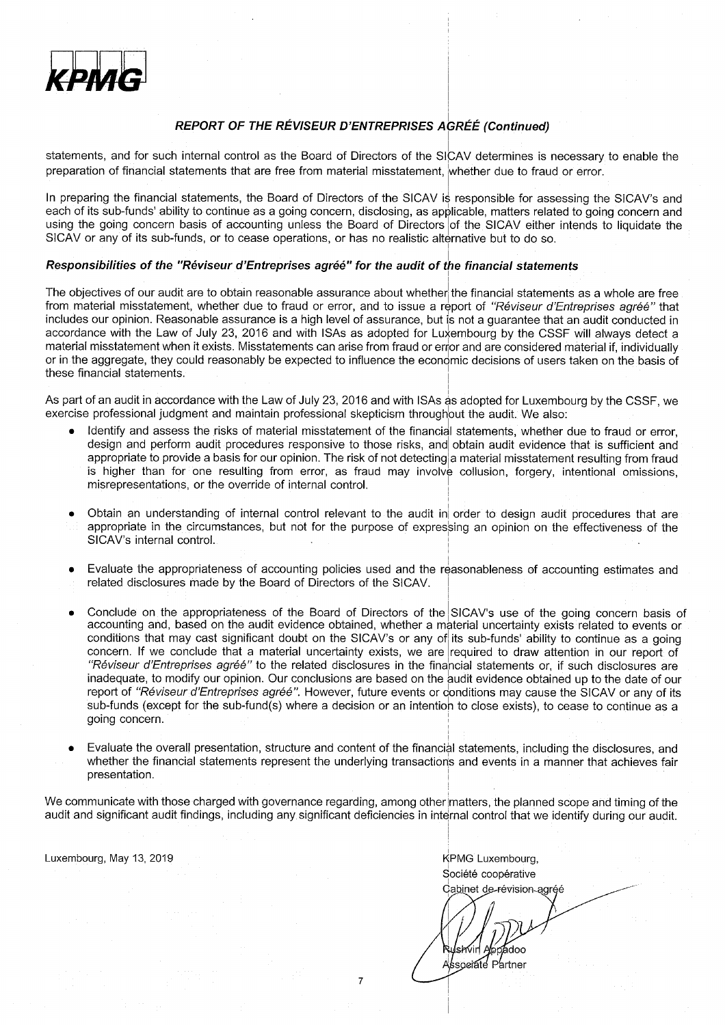

### **REPORT OF THE RÉVISEUR D'ENTREPRISES AGRÉÉ (Continued)**

statements, and for such internal control as the Board of Directors of the SICAV determines is necessary to enable the preparation of financial statements that are free from material misstatement. whether due to fraud or error.

In preparing the financial statements, the Board of Directors of the SICAV is responsible for assessing the SICAV's and each of its sub-funds' ability to continue as a going concern, disclosing, as applicable, matters related to going concern and using the going concern basis of accounting unless the Board of Directors of the SICAV either intends to liquidate the SICAV or any of its sub-funds, or to cease operations, or has no realistic alternative but to do so.

#### Responsibilities of the "Réviseur d'Entreprises agréé" for the audit of the financial statements

The objectives of our audit are to obtain reasonable assurance about whether the financial statements as a whole are free from material misstatement, whether due to fraud or error, and to issue a report of "Réviseur d'Entreprises agréé" that includes our opinion. Reasonable assurance is a high level of assurance, but is not a quarantee that an audit conducted in accordance with the Law of July 23, 2016 and with ISAs as adopted for Luxembourg by the CSSF will always detect a material misstatement when it exists. Misstatements can arise from fraud or error and are considered material if, individually or in the aggregate, they could reasonably be expected to influence the economic decisions of users taken on the basis of these financial statements.

As part of an audit in accordance with the Law of July 23, 2016 and with ISAs as adopted for Luxembourg by the CSSF, we exercise professional judgment and maintain professional skepticism throughout the audit. We also:

- Identify and assess the risks of material misstatement of the financial statements, whether due to fraud or error. design and perform audit procedures responsive to those risks, and obtain audit evidence that is sufficient and appropriate to provide a basis for our opinion. The risk of not detecting a material misstatement resulting from fraud is higher than for one resulting from error, as fraud may involve collusion, forgery, intentional omissions, misrepresentations, or the override of internal control.
- Obtain an understanding of internal control relevant to the audit in order to design audit procedures that are appropriate in the circumstances, but not for the purpose of expressing an opinion on the effectiveness of the SICAV's internal control.
- Evaluate the appropriateness of accounting policies used and the reasonableness of accounting estimates and related disclosures made by the Board of Directors of the SICAV.
- Conclude on the appropriateness of the Board of Directors of the SICAV's use of the going concern basis of accounting and, based on the audit evidence obtained, whether a material uncertainty exists related to events or conditions that may cast significant doubt on the SICAV's or any of its sub-funds' ability to continue as a going concern. If we conclude that a material uncertainty exists, we are required to draw attention in our report of "Réviseur d'Entreprises agréé" to the related disclosures in the financial statements or, if such disclosures are inadequate, to modify our opinion. Our conclusions are based on the audit evidence obtained up to the date of our report of "Réviseur d'Entreprises agréé". However, future events or conditions may cause the SICAV or any of its sub-funds (except for the sub-fund(s) where a decision or an intention to close exists), to cease to continue as a going concern.
- Evaluate the overall presentation, structure and content of the financial statements, including the disclosures, and whether the financial statements represent the underlying transactions and events in a manner that achieves fair presentation.

We communicate with those charged with governance regarding, among other matters, the planned scope and timing of the audit and significant audit findings, including any significant deficiencies in internal control that we identify during our audit.

 $\overline{7}$ 

Luxembourg, May 13, 2019

KPMG Luxembourg, Société coopérative Cabinet de-révision-agréé

lsm/in idoo

Associate Partner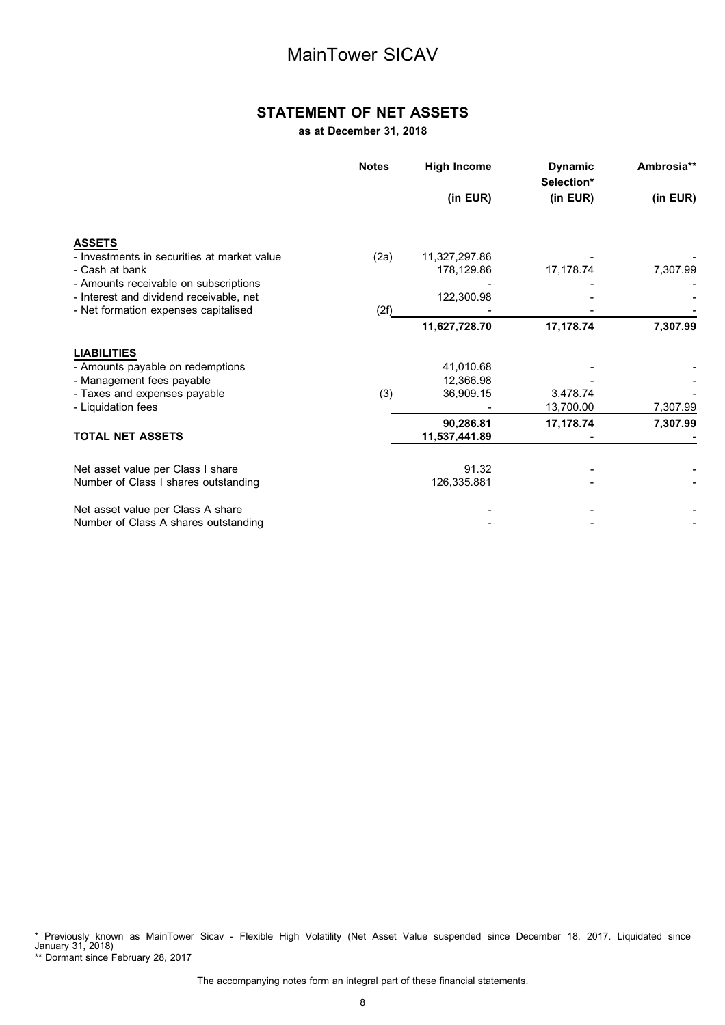### **STATEMENT OF NET ASSETS**

**as at December 31, 2018**

|                                             | <b>Notes</b> | <b>High Income</b> | <b>Dynamic</b><br>Selection* | Ambrosia** |
|---------------------------------------------|--------------|--------------------|------------------------------|------------|
|                                             |              | (in EUR)           | (in EUR)                     | (in EUR)   |
| <b>ASSETS</b>                               |              |                    |                              |            |
| - Investments in securities at market value | (2a)         | 11,327,297.86      |                              |            |
| - Cash at bank                              |              | 178,129.86         | 17,178.74                    | 7,307.99   |
| - Amounts receivable on subscriptions       |              |                    |                              |            |
| - Interest and dividend receivable, net     |              | 122,300.98         |                              |            |
| - Net formation expenses capitalised        | (2f)         |                    |                              |            |
|                                             |              | 11,627,728.70      | 17,178.74                    | 7,307.99   |
| <b>LIABILITIES</b>                          |              |                    |                              |            |
| - Amounts payable on redemptions            |              | 41,010.68          |                              |            |
| - Management fees payable                   |              | 12.366.98          |                              |            |
| - Taxes and expenses payable                | (3)          | 36,909.15          | 3.478.74                     |            |
| - Liquidation fees                          |              |                    | 13,700.00                    | 7,307.99   |
|                                             |              | 90,286.81          | 17,178.74                    | 7,307.99   |
| <b>TOTAL NET ASSETS</b>                     |              | 11,537,441.89      |                              |            |
| Net asset value per Class I share           |              | 91.32              |                              |            |
| Number of Class I shares outstanding        |              | 126,335.881        |                              |            |
| Net asset value per Class A share           |              |                    |                              |            |
| Number of Class A shares outstanding        |              |                    |                              |            |

\* Previously known as MainTower Sicav - Flexible High Volatility (Net Asset Value suspended since December 18, 2017. Liquidated since January 31, 2018)

\*\* Dormant since February 28, 2017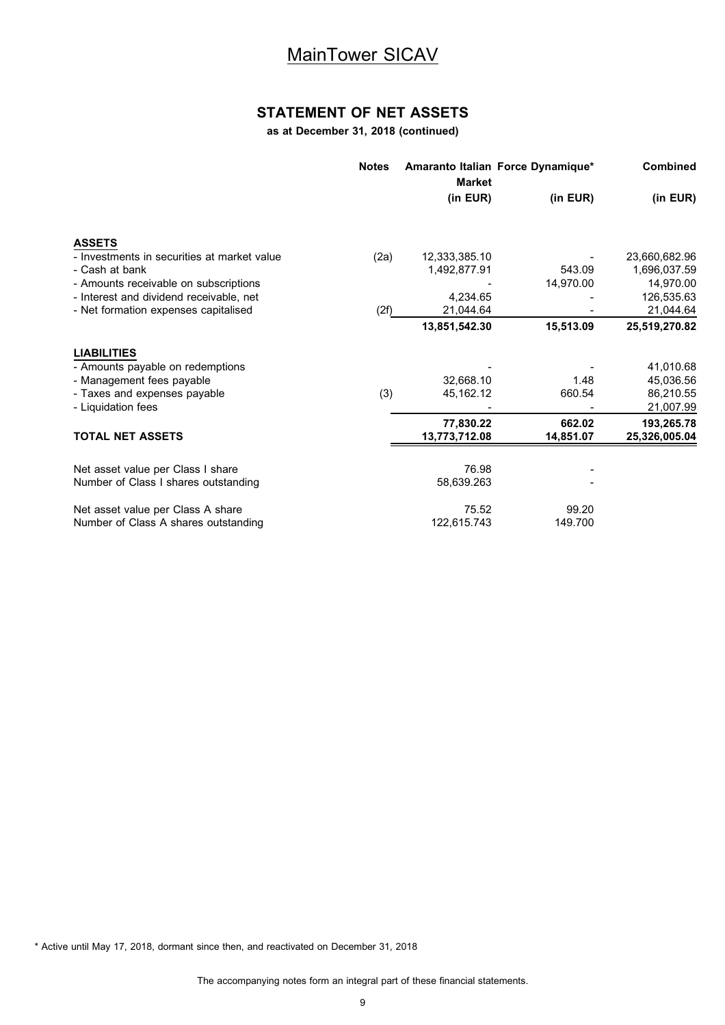### **STATEMENT OF NET ASSETS**

**as at December 31, 2018 (continued)**

|                                             | <b>Notes</b> | <b>Market</b> | Amaranto Italian Force Dynamique* | <b>Combined</b> |
|---------------------------------------------|--------------|---------------|-----------------------------------|-----------------|
|                                             |              | (in EUR)      | (in EUR)                          | (in EUR)        |
| <b>ASSETS</b>                               |              |               |                                   |                 |
| - Investments in securities at market value | (2a)         | 12,333,385.10 |                                   | 23,660,682.96   |
| - Cash at bank                              |              | 1,492,877.91  | 543.09                            | 1,696,037.59    |
| - Amounts receivable on subscriptions       |              |               | 14,970.00                         | 14,970.00       |
| - Interest and dividend receivable, net     |              | 4.234.65      |                                   | 126,535.63      |
| - Net formation expenses capitalised        | (2f)         | 21,044.64     |                                   | 21,044.64       |
|                                             |              | 13,851,542.30 | 15,513.09                         | 25,519,270.82   |
| <b>LIABILITIES</b>                          |              |               |                                   |                 |
| - Amounts payable on redemptions            |              |               |                                   | 41,010.68       |
| - Management fees payable                   |              | 32,668.10     | 1.48                              | 45,036.56       |
| - Taxes and expenses payable                | (3)          | 45,162.12     | 660.54                            | 86,210.55       |
| - Liquidation fees                          |              |               |                                   | 21,007.99       |
|                                             |              | 77,830.22     | 662.02                            | 193,265.78      |
| <b>TOTAL NET ASSETS</b>                     |              | 13,773,712.08 | 14,851.07                         | 25,326,005.04   |
|                                             |              |               |                                   |                 |
| Net asset value per Class I share           |              | 76.98         |                                   |                 |
| Number of Class I shares outstanding        |              | 58,639.263    |                                   |                 |
| Net asset value per Class A share           |              | 75.52         | 99.20                             |                 |
| Number of Class A shares outstanding        |              | 122,615.743   | 149.700                           |                 |

\* Active until May 17, 2018, dormant since then, and reactivated on December 31, 2018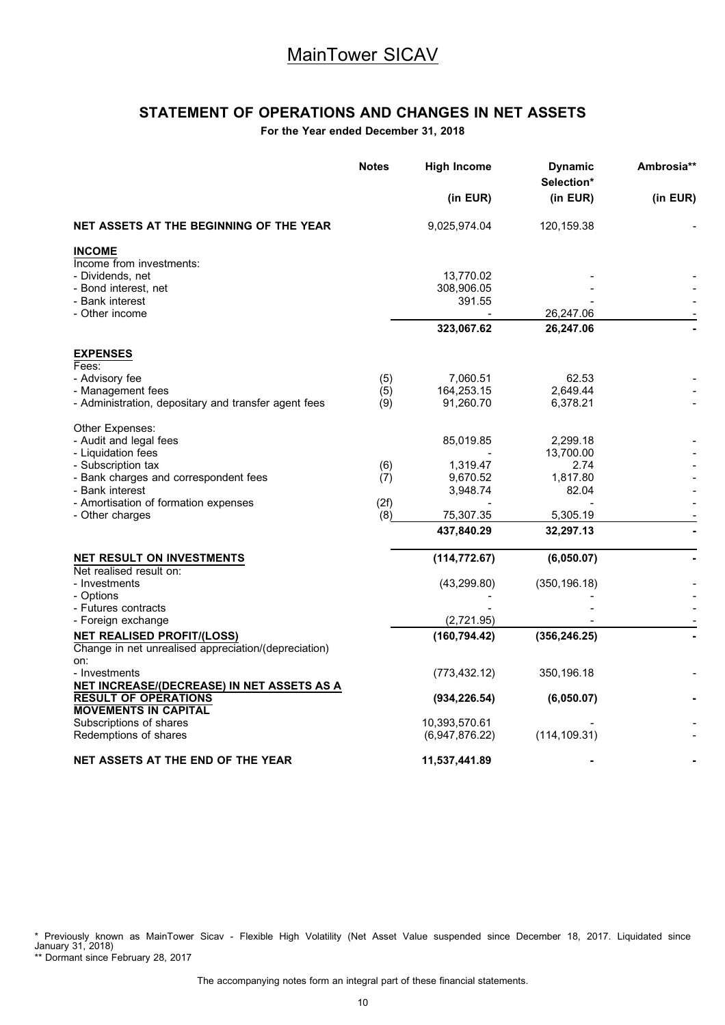# **STATEMENT OF OPERATIONS AND CHANGES IN NET ASSETS**

**For the Year ended December 31, 2018**

|                                                      | <b>Notes</b> | <b>High Income</b>              | <b>Dynamic</b><br>Selection* | Ambrosia** |
|------------------------------------------------------|--------------|---------------------------------|------------------------------|------------|
|                                                      |              | (in EUR)                        | (in EUR)                     | (in EUR)   |
| NET ASSETS AT THE BEGINNING OF THE YEAR              |              | 9,025,974.04                    | 120,159.38                   |            |
| <b>INCOME</b>                                        |              |                                 |                              |            |
| Income from investments:                             |              |                                 |                              |            |
| - Dividends, net                                     |              | 13,770.02                       |                              |            |
| - Bond interest, net                                 |              | 308,906.05                      |                              |            |
| - Bank interest<br>- Other income                    |              | 391.55                          | 26,247.06                    |            |
|                                                      |              | 323,067.62                      | 26,247.06                    |            |
|                                                      |              |                                 |                              |            |
| <b>EXPENSES</b><br>Fees:                             |              |                                 |                              |            |
| - Advisory fee                                       | (5)          | 7,060.51                        | 62.53                        |            |
| - Management fees                                    | (5)          | 164,253.15                      | 2.649.44                     |            |
| - Administration, depositary and transfer agent fees | (9)          | 91,260.70                       | 6,378.21                     |            |
| Other Expenses:                                      |              |                                 |                              |            |
| - Audit and legal fees                               |              | 85,019.85                       | 2,299.18                     |            |
| - Liquidation fees                                   |              |                                 | 13,700.00                    |            |
| - Subscription tax                                   | (6)          | 1,319.47                        | 2.74                         |            |
| - Bank charges and correspondent fees                | (7)          | 9,670.52                        | 1,817.80                     |            |
| - Bank interest                                      |              | 3,948.74                        | 82.04                        |            |
| - Amortisation of formation expenses                 | (2f)         |                                 |                              |            |
| - Other charges                                      | (8)          | 75,307.35                       | 5,305.19                     |            |
|                                                      |              | 437,840.29                      | 32,297.13                    |            |
| <b>NET RESULT ON INVESTMENTS</b>                     |              | (114, 772.67)                   | (6,050.07)                   |            |
| Net realised result on:<br>- Investments             |              | (43, 299.80)                    | (350, 196.18)                |            |
| - Options                                            |              |                                 |                              |            |
| - Futures contracts                                  |              |                                 |                              |            |
| - Foreign exchange                                   |              | (2,721.95)                      |                              |            |
| <b>NET REALISED PROFIT/(LOSS)</b>                    |              | (160, 794.42)                   | (356, 246.25)                |            |
| Change in net unrealised appreciation/(depreciation) |              |                                 |                              |            |
| on:                                                  |              |                                 |                              |            |
| - Investments                                        |              | (773, 432.12)                   | 350,196.18                   |            |
| NET INCREASE/(DECREASE) IN NET ASSETS AS A           |              |                                 |                              |            |
| <b>RESULT OF OPERATIONS</b>                          |              | (934, 226.54)                   | (6,050.07)                   |            |
| <b>MOVEMENTS IN CAPITAL</b>                          |              |                                 |                              |            |
| Subscriptions of shares<br>Redemptions of shares     |              | 10,393,570.61<br>(6,947,876.22) | (114, 109.31)                |            |
|                                                      |              |                                 |                              |            |
| NET ASSETS AT THE END OF THE YEAR                    |              | 11,537,441.89                   |                              |            |

\* Previously known as MainTower Sicav - Flexible High Volatility (Net Asset Value suspended since December 18, 2017. Liquidated since January 31, 2018)

\*\* Dormant since February 28, 2017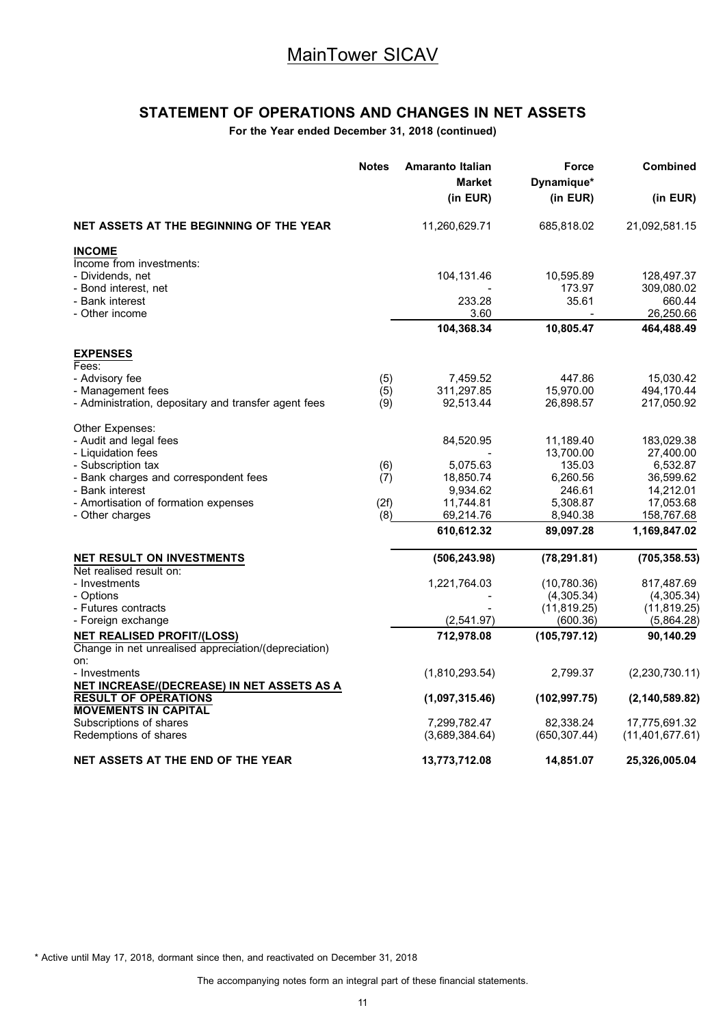# **STATEMENT OF OPERATIONS AND CHANGES IN NET ASSETS**

**For the Year ended December 31, 2018 (continued)**

|                                                                           | <b>Notes</b> | <b>Amaranto Italian</b><br><b>Market</b> | Force<br>Dynamique*        | <b>Combined</b>                  |
|---------------------------------------------------------------------------|--------------|------------------------------------------|----------------------------|----------------------------------|
|                                                                           |              | (in EUR)                                 | (in EUR)                   | (in EUR)                         |
| NET ASSETS AT THE BEGINNING OF THE YEAR                                   |              | 11,260,629.71                            | 685,818.02                 | 21,092,581.15                    |
| <b>INCOME</b>                                                             |              |                                          |                            |                                  |
| Income from investments:<br>- Dividends, net                              |              | 104,131.46                               | 10,595.89                  | 128,497.37                       |
| - Bond interest, net                                                      |              |                                          | 173.97                     | 309,080.02                       |
| - Bank interest                                                           |              | 233.28                                   | 35.61                      | 660.44                           |
| - Other income                                                            |              | 3.60<br>104,368.34                       | 10,805.47                  | 26,250.66<br>464,488.49          |
|                                                                           |              |                                          |                            |                                  |
| <b>EXPENSES</b><br>Fees:                                                  |              |                                          |                            |                                  |
| - Advisory fee                                                            | (5)          | 7,459.52                                 | 447.86                     | 15,030.42                        |
| - Management fees<br>- Administration, depositary and transfer agent fees | (5)<br>(9)   | 311,297.85<br>92,513.44                  | 15,970.00<br>26,898.57     | 494,170.44<br>217,050.92         |
|                                                                           |              |                                          |                            |                                  |
| Other Expenses:                                                           |              |                                          |                            |                                  |
| - Audit and legal fees                                                    |              | 84,520.95                                | 11,189.40                  | 183,029.38                       |
| - Liquidation fees<br>- Subscription tax                                  | (6)          | 5,075.63                                 | 13,700.00<br>135.03        | 27,400.00<br>6,532.87            |
| - Bank charges and correspondent fees                                     | (7)          | 18,850.74                                | 6,260.56                   | 36,599.62                        |
| - Bank interest                                                           |              | 9,934.62                                 | 246.61                     | 14,212.01                        |
| - Amortisation of formation expenses                                      | (2f)         | 11,744.81                                | 5,308.87                   | 17,053.68                        |
| - Other charges                                                           | (8)          | 69,214.76                                | 8,940.38                   | 158,767.68                       |
|                                                                           |              | 610,612.32                               | 89,097.28                  | 1,169,847.02                     |
| NET RESULT ON INVESTMENTS<br>Net realised result on:                      |              | (506, 243.98)                            | (78, 291.81)               | (705, 358.53)                    |
| - Investments                                                             |              | 1,221,764.03                             | (10,780.36)                | 817,487.69                       |
| - Options                                                                 |              |                                          | (4,305.34)                 | (4,305.34)                       |
| - Futures contracts                                                       |              |                                          | (11, 819.25)               | (11, 819.25)                     |
| - Foreign exchange                                                        |              | (2,541.97)                               | (600.36)                   | (5,864.28)                       |
| <b>NET REALISED PROFIT/(LOSS)</b>                                         |              | 712,978.08                               | (105, 797.12)              | 90,140.29                        |
| Change in net unrealised appreciation/(depreciation)<br>on:               |              |                                          |                            |                                  |
| - Investments                                                             |              | (1,810,293.54)                           | 2,799.37                   | (2,230,730.11)                   |
| NET INCREASE/(DECREASE) IN NET ASSETS AS A                                |              |                                          |                            |                                  |
| <b>RESULT OF OPERATIONS</b>                                               |              | (1,097,315.46)                           | (102, 997.75)              | (2, 140, 589.82)                 |
| <b>MOVEMENTS IN CAPITAL</b><br>Subscriptions of shares                    |              |                                          |                            |                                  |
| Redemptions of shares                                                     |              | 7,299,782.47<br>(3,689,384.64)           | 82,338.24<br>(650, 307.44) | 17,775,691.32<br>(11,401,677.61) |
|                                                                           |              |                                          |                            |                                  |
| NET ASSETS AT THE END OF THE YEAR                                         |              | 13,773,712.08                            | 14,851.07                  | 25,326,005.04                    |

\* Active until May 17, 2018, dormant since then, and reactivated on December 31, 2018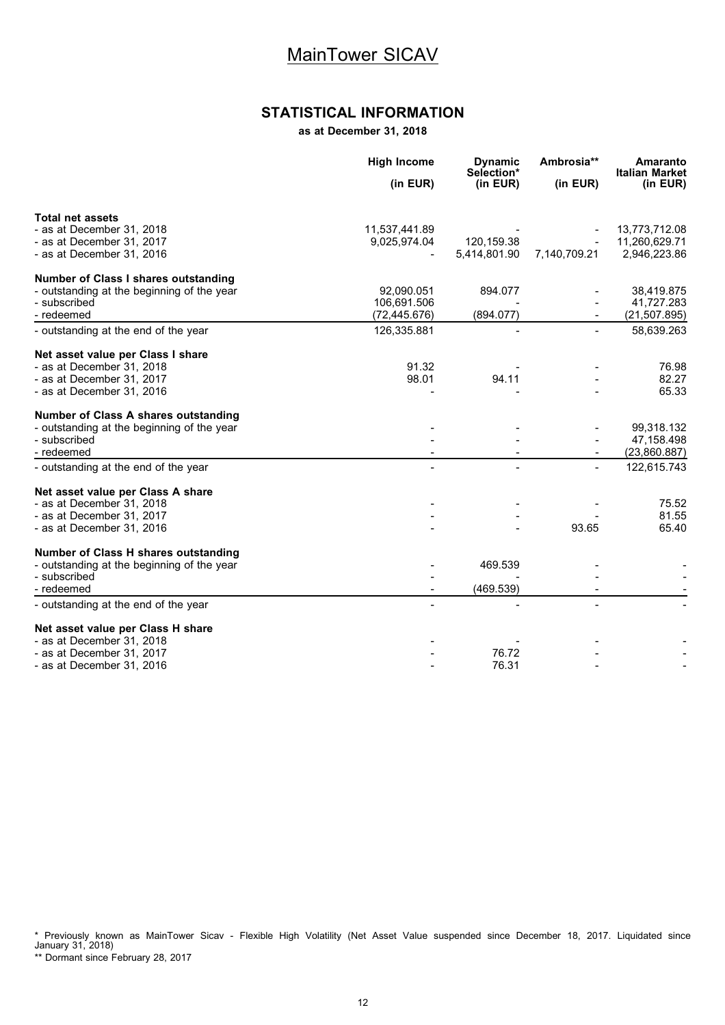### **STATISTICAL INFORMATION**

**as at December 31, 2018**

|                                            | <b>High Income</b> | <b>Dynamic</b><br>Selection* | Ambrosia**   | Amaranto<br><b>Italian Market</b> |
|--------------------------------------------|--------------------|------------------------------|--------------|-----------------------------------|
|                                            | (in EUR)           | (in EUR)                     | (in EUR)     | (in EUR)                          |
| <b>Total net assets</b>                    |                    |                              |              |                                   |
| - as at December 31, 2018                  | 11,537,441.89      |                              |              | 13,773,712.08                     |
| - as at December 31, 2017                  | 9,025,974.04       | 120,159.38                   |              | 11,260,629.71                     |
| - as at December 31, 2016                  |                    | 5,414,801.90                 | 7,140,709.21 | 2,946,223.86                      |
| Number of Class I shares outstanding       |                    |                              |              |                                   |
| - outstanding at the beginning of the year | 92,090.051         | 894.077                      |              | 38,419.875                        |
| - subscribed                               | 106,691.506        |                              |              | 41,727.283                        |
| - redeemed                                 | (72, 445.676)      | (894.077)                    |              | (21, 507.895)                     |
| - outstanding at the end of the year       | 126,335.881        |                              |              | 58,639.263                        |
| Net asset value per Class I share          |                    |                              |              |                                   |
| - as at December 31, 2018                  | 91.32              |                              |              | 76.98                             |
| - as at December 31, 2017                  | 98.01              | 94.11                        |              | 82.27                             |
| - as at December 31, 2016                  |                    |                              |              | 65.33                             |
| Number of Class A shares outstanding       |                    |                              |              |                                   |
| - outstanding at the beginning of the year |                    |                              |              | 99,318.132                        |
| - subscribed                               |                    |                              |              | 47,158.498                        |
| - redeemed                                 |                    |                              |              | (23,860.887)                      |
| - outstanding at the end of the year       |                    |                              |              | 122,615.743                       |
| Net asset value per Class A share          |                    |                              |              |                                   |
| - as at December 31, 2018                  |                    |                              |              | 75.52                             |
| - as at December 31, 2017                  |                    |                              |              | 81.55                             |
| - as at December 31, 2016                  |                    |                              | 93.65        | 65.40                             |
| Number of Class H shares outstanding       |                    |                              |              |                                   |
| - outstanding at the beginning of the year |                    | 469.539                      |              |                                   |
| - subscribed                               |                    |                              |              |                                   |
| - redeemed                                 |                    | (469.539)                    |              |                                   |
| - outstanding at the end of the year       |                    |                              |              |                                   |
| Net asset value per Class H share          |                    |                              |              |                                   |
| - as at December 31, 2018                  |                    |                              |              |                                   |
| - as at December 31, 2017                  |                    | 76.72                        |              |                                   |
| - as at December 31, 2016                  |                    | 76.31                        |              |                                   |

\* Previously known as MainTower Sicav - Flexible High Volatility (Net Asset Value suspended since December 18, 2017. Liquidated since January 31, 2018)

\*\* Dormant since February 28, 2017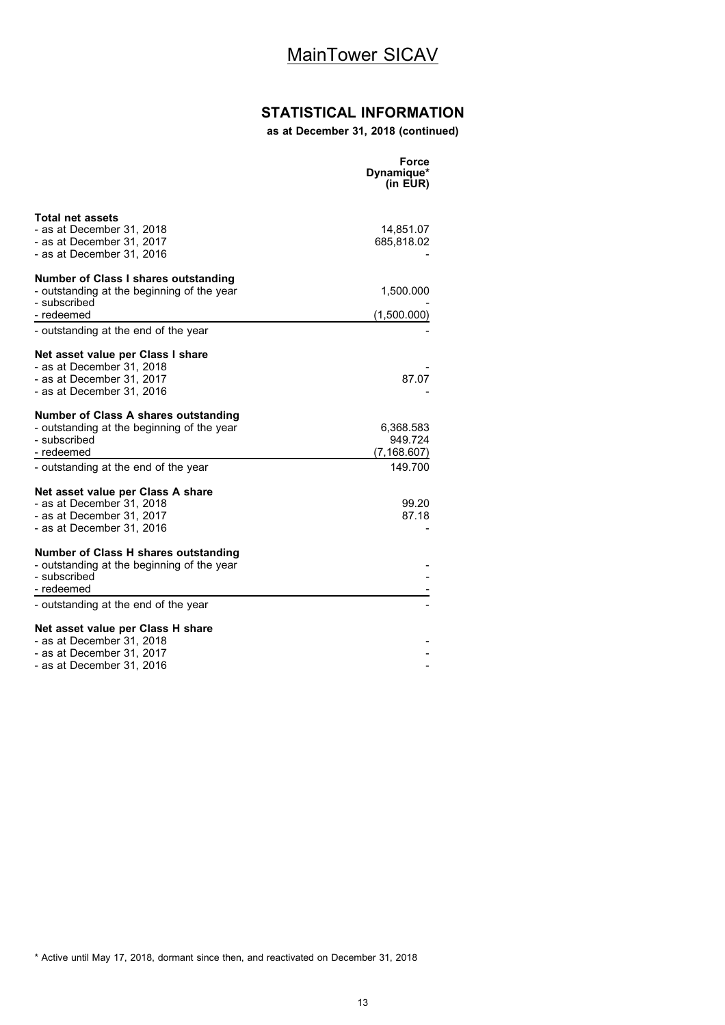# **STATISTICAL INFORMATION**

**as at December 31, 2018 (continued)**

|                                                                                                                          | Force<br>Dynamique*<br>(in EUR)      |
|--------------------------------------------------------------------------------------------------------------------------|--------------------------------------|
| Total net assets<br>- as at December 31, 2018<br>- as at December 31, 2017<br>- as at December 31, 2016                  | 14,851.07<br>685,818.02              |
| Number of Class I shares outstanding<br>- outstanding at the beginning of the year<br>- subscribed                       | 1,500.000                            |
| - redeemed<br>- outstanding at the end of the year                                                                       | (1,500.000)                          |
| Net asset value per Class I share<br>- as at December 31, 2018<br>- as at December 31, 2017<br>- as at December 31, 2016 | 87.07                                |
| Number of Class A shares outstanding<br>- outstanding at the beginning of the year<br>- subscribed<br>- redeemed         | 6,368.583<br>949.724<br>(7, 168.607) |
| - outstanding at the end of the year                                                                                     | 149.700                              |
| Net asset value per Class A share<br>- as at December 31, 2018<br>- as at December 31, 2017<br>- as at December 31, 2016 | 99.20<br>87.18                       |
| Number of Class H shares outstanding<br>- outstanding at the beginning of the year<br>- subscribed<br>- redeemed         |                                      |
| - outstanding at the end of the year                                                                                     |                                      |
| Net asset value per Class H share<br>- as at December 31, 2018<br>- as at December 31. 2017<br>- as at December 31, 2016 |                                      |

<sup>\*</sup> Active until May 17, 2018, dormant since then, and reactivated on December 31, 2018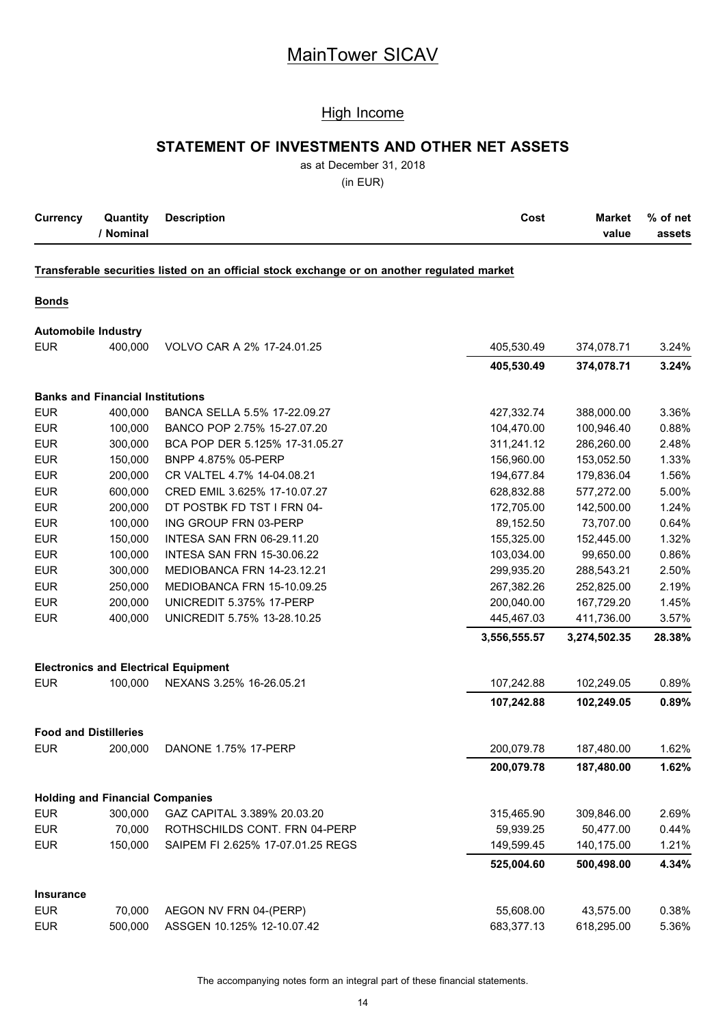### High Income

### **STATEMENT OF INVESTMENTS AND OTHER NET ASSETS**

as at December 31, 2018

(in EUR)

|                    | <b>Currency</b> | Quantity<br><b>Description</b> | Market<br>Cost | $\%$ of net |
|--------------------|-----------------|--------------------------------|----------------|-------------|
| ' Nominal<br>value |                 |                                |                | assets      |

#### **Transferable securities listed on an official stock exchange or on another regulated market**

### **Bonds**

#### **Automobile Industry**

| <b>EUR</b>       | 400,000                                 | VOLVO CAR A 2% 17-24.01.25                  | 405,530.49   | 374,078.71   | 3.24%  |
|------------------|-----------------------------------------|---------------------------------------------|--------------|--------------|--------|
|                  |                                         |                                             | 405,530.49   | 374,078.71   | 3.24%  |
|                  | <b>Banks and Financial Institutions</b> |                                             |              |              |        |
| <b>EUR</b>       | 400,000                                 | BANCA SELLA 5.5% 17-22.09.27                | 427,332.74   | 388,000.00   | 3.36%  |
| <b>EUR</b>       | 100,000                                 | BANCO POP 2.75% 15-27.07.20                 | 104,470.00   | 100,946.40   | 0.88%  |
| <b>EUR</b>       | 300,000                                 | BCA POP DER 5.125% 17-31.05.27              | 311,241.12   | 286,260.00   | 2.48%  |
| <b>EUR</b>       | 150,000                                 | BNPP 4.875% 05-PERP                         | 156,960.00   | 153,052.50   | 1.33%  |
| <b>EUR</b>       | 200,000                                 | CR VALTEL 4.7% 14-04.08.21                  | 194,677.84   | 179,836.04   | 1.56%  |
| <b>EUR</b>       | 600,000                                 | CRED EMIL 3.625% 17-10.07.27                | 628,832.88   | 577,272.00   | 5.00%  |
| <b>EUR</b>       | 200,000                                 | DT POSTBK FD TST I FRN 04-                  | 172,705.00   | 142,500.00   | 1.24%  |
| <b>EUR</b>       | 100,000                                 | ING GROUP FRN 03-PERP                       | 89,152.50    | 73,707.00    | 0.64%  |
| <b>EUR</b>       | 150,000                                 | <b>INTESA SAN FRN 06-29.11.20</b>           | 155,325.00   | 152,445.00   | 1.32%  |
| <b>EUR</b>       | 100,000                                 | <b>INTESA SAN FRN 15-30.06.22</b>           | 103,034.00   | 99,650.00    | 0.86%  |
| <b>EUR</b>       | 300,000                                 | MEDIOBANCA FRN 14-23.12.21                  | 299,935.20   | 288,543.21   | 2.50%  |
| <b>EUR</b>       | 250,000                                 | MEDIOBANCA FRN 15-10.09.25                  | 267,382.26   | 252,825.00   | 2.19%  |
| <b>EUR</b>       | 200,000                                 | UNICREDIT 5.375% 17-PERP                    | 200,040.00   | 167,729.20   | 1.45%  |
| <b>EUR</b>       | 400,000                                 | UNICREDIT 5.75% 13-28.10.25                 | 445,467.03   | 411,736.00   | 3.57%  |
|                  |                                         |                                             | 3,556,555.57 | 3,274,502.35 | 28.38% |
|                  |                                         | <b>Electronics and Electrical Equipment</b> |              |              |        |
| <b>EUR</b>       | 100,000                                 | NEXANS 3.25% 16-26.05.21                    | 107,242.88   | 102,249.05   | 0.89%  |
|                  |                                         |                                             | 107,242.88   | 102,249.05   | 0.89%  |
|                  | <b>Food and Distilleries</b>            |                                             |              |              |        |
| <b>EUR</b>       | 200,000                                 | DANONE 1.75% 17-PERP                        | 200,079.78   | 187,480.00   | 1.62%  |
|                  |                                         |                                             | 200,079.78   | 187,480.00   | 1.62%  |
|                  | <b>Holding and Financial Companies</b>  |                                             |              |              |        |
| <b>EUR</b>       | 300,000                                 | GAZ CAPITAL 3.389% 20.03.20                 | 315,465.90   | 309,846.00   | 2.69%  |
| <b>EUR</b>       | 70,000                                  | ROTHSCHILDS CONT. FRN 04-PERP               | 59,939.25    | 50,477.00    | 0.44%  |
| <b>EUR</b>       | 150,000                                 | SAIPEM FI 2.625% 17-07.01.25 REGS           | 149,599.45   | 140,175.00   | 1.21%  |
|                  |                                         |                                             | 525,004.60   | 500,498.00   | 4.34%  |
| <b>Insurance</b> |                                         |                                             |              |              |        |
| <b>EUR</b>       | 70,000                                  | AEGON NV FRN 04-(PERP)                      | 55,608.00    | 43,575.00    | 0.38%  |
| <b>EUR</b>       | 500,000                                 | ASSGEN 10.125% 12-10.07.42                  | 683,377.13   | 618,295.00   | 5.36%  |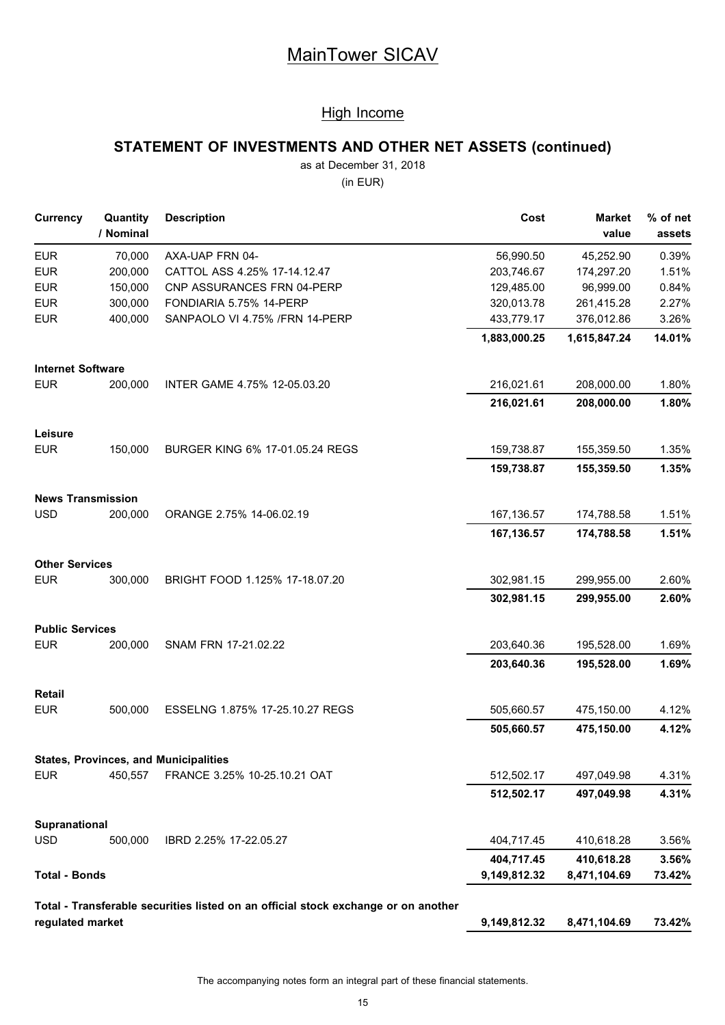### High Income

# **STATEMENT OF INVESTMENTS AND OTHER NET ASSETS (continued)**

as at December 31, 2018

(in EUR)

| <b>Currency</b>                      | Quantity<br>/ Nominal | <b>Description</b>                                                                 | Cost         | <b>Market</b><br>value | % of net<br>assets |
|--------------------------------------|-----------------------|------------------------------------------------------------------------------------|--------------|------------------------|--------------------|
| <b>EUR</b>                           | 70,000                | AXA-UAP FRN 04-                                                                    | 56,990.50    | 45,252.90              | 0.39%              |
| <b>EUR</b>                           | 200,000               | CATTOL ASS 4.25% 17-14.12.47                                                       | 203,746.67   | 174,297.20             | 1.51%              |
| <b>EUR</b>                           | 150,000               | CNP ASSURANCES FRN 04-PERP                                                         | 129,485.00   | 96,999.00              | 0.84%              |
| <b>EUR</b>                           | 300,000               | FONDIARIA 5.75% 14-PERP                                                            | 320,013.78   | 261,415.28             | 2.27%              |
| <b>EUR</b>                           | 400,000               | SANPAOLO VI 4.75% /FRN 14-PERP                                                     | 433,779.17   | 376,012.86             | 3.26%              |
|                                      |                       |                                                                                    | 1,883,000.25 | 1,615,847.24           | 14.01%             |
| <b>Internet Software</b>             |                       |                                                                                    |              |                        |                    |
| <b>EUR</b>                           | 200,000               | INTER GAME 4.75% 12-05.03.20                                                       | 216,021.61   | 208,000.00             | 1.80%              |
|                                      |                       |                                                                                    | 216,021.61   | 208,000.00             | 1.80%              |
| Leisure                              |                       |                                                                                    |              |                        |                    |
| <b>EUR</b>                           | 150,000               | BURGER KING 6% 17-01.05.24 REGS                                                    | 159,738.87   | 155,359.50             | 1.35%              |
|                                      |                       |                                                                                    | 159,738.87   | 155,359.50             | 1.35%              |
| <b>News Transmission</b>             |                       |                                                                                    |              |                        |                    |
| <b>USD</b>                           | 200,000               | ORANGE 2.75% 14-06.02.19                                                           | 167,136.57   | 174,788.58             | 1.51%              |
|                                      |                       |                                                                                    | 167,136.57   | 174,788.58             | 1.51%              |
| <b>Other Services</b><br><b>EUR</b>  | 300,000               |                                                                                    |              |                        |                    |
|                                      |                       | BRIGHT FOOD 1.125% 17-18.07.20                                                     | 302,981.15   | 299,955.00             | 2.60%              |
|                                      |                       |                                                                                    | 302,981.15   | 299,955.00             | 2.60%              |
| <b>Public Services</b><br><b>EUR</b> | 200,000               | SNAM FRN 17-21.02.22                                                               | 203,640.36   | 195,528.00             | 1.69%              |
|                                      |                       |                                                                                    | 203,640.36   | 195,528.00             | 1.69%              |
| Retail                               |                       |                                                                                    |              |                        |                    |
| <b>EUR</b>                           | 500.000               | ESSELNG 1.875% 17-25.10.27 REGS                                                    | 505,660.57   | 475,150.00             | 4.12%              |
|                                      |                       |                                                                                    | 505,660.57   | 475,150.00             | 4.12%              |
|                                      |                       | <b>States, Provinces, and Municipalities</b>                                       |              |                        |                    |
| <b>EUR</b>                           | 450,557               | FRANCE 3.25% 10-25.10.21 OAT                                                       | 512,502.17   | 497,049.98             | 4.31%              |
|                                      |                       |                                                                                    | 512,502.17   | 497,049.98             | 4.31%              |
| Supranational                        |                       |                                                                                    |              |                        |                    |
| <b>USD</b>                           | 500,000               | IBRD 2.25% 17-22.05.27                                                             | 404,717.45   | 410,618.28             | 3.56%              |
|                                      |                       |                                                                                    | 404,717.45   | 410,618.28             | 3.56%              |
| <b>Total - Bonds</b>                 |                       |                                                                                    | 9,149,812.32 | 8,471,104.69           | 73.42%             |
|                                      |                       | Total - Transferable securities listed on an official stock exchange or on another |              |                        |                    |
| regulated market                     |                       |                                                                                    | 9,149,812.32 | 8,471,104.69           | 73.42%             |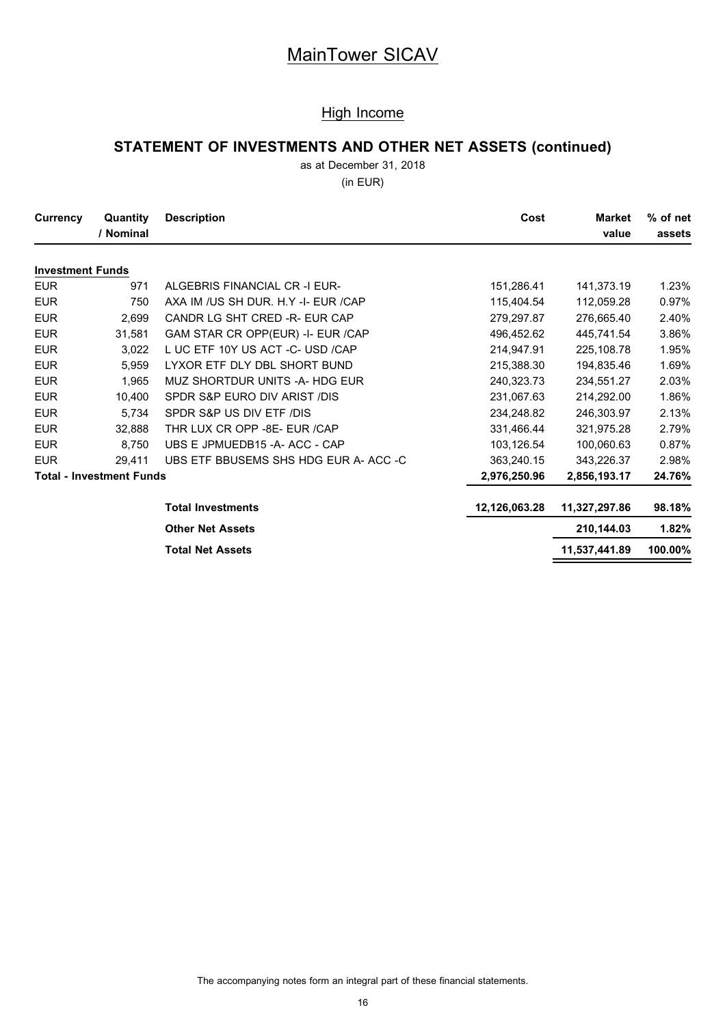### High Income

# **STATEMENT OF INVESTMENTS AND OTHER NET ASSETS (continued)**

as at December 31, 2018

(in EUR)

| Currency                | Quantity<br>/ Nominal           | <b>Description</b>                    | Cost          | <b>Market</b><br>value | % of net<br>assets |
|-------------------------|---------------------------------|---------------------------------------|---------------|------------------------|--------------------|
| <b>Investment Funds</b> |                                 |                                       |               |                        |                    |
| <b>EUR</b>              | 971                             | ALGEBRIS FINANCIAL CR -I EUR-         | 151,286.41    | 141,373.19             | 1.23%              |
| <b>EUR</b>              | 750                             | AXA IM /US SH DUR. H.Y -I- EUR /CAP   | 115,404.54    | 112,059.28             | 0.97%              |
| <b>EUR</b>              | 2,699                           | CANDR LG SHT CRED -R- EUR CAP         | 279,297.87    | 276,665.40             | 2.40%              |
| <b>EUR</b>              | 31,581                          | GAM STAR CR OPP(EUR) -I- EUR /CAP     | 496,452.62    | 445,741.54             | 3.86%              |
| <b>EUR</b>              | 3.022                           | L UC ETF 10Y US ACT -C- USD /CAP      | 214,947.91    | 225,108.78             | 1.95%              |
| <b>EUR</b>              | 5.959                           | LYXOR ETF DLY DBL SHORT BUND          | 215,388.30    | 194,835.46             | 1.69%              |
| <b>EUR</b>              | 1,965                           | MUZ SHORTDUR UNITS -A- HDG EUR        | 240,323.73    | 234,551.27             | 2.03%              |
| <b>EUR</b>              | 10.400                          | SPDR S&P EURO DIV ARIST /DIS          | 231,067.63    | 214,292.00             | 1.86%              |
| <b>EUR</b>              | 5,734                           | SPDR S&P US DIV ETF /DIS              | 234,248.82    | 246,303.97             | 2.13%              |
| <b>EUR</b>              | 32,888                          | THR LUX CR OPP -8E- EUR /CAP          | 331,466.44    | 321,975.28             | 2.79%              |
| <b>EUR</b>              | 8.750                           | UBS E JPMUEDB15 - A- ACC - CAP        | 103,126.54    | 100,060.63             | 0.87%              |
| <b>EUR</b>              | 29,411                          | UBS ETF BBUSEMS SHS HDG EUR A- ACC -C | 363,240.15    | 343,226.37             | 2.98%              |
|                         | <b>Total - Investment Funds</b> |                                       | 2,976,250.96  | 2,856,193.17           | 24.76%             |
|                         |                                 | <b>Total Investments</b>              | 12,126,063.28 | 11,327,297.86          | 98.18%             |
|                         |                                 | <b>Other Net Assets</b>               |               | 210,144.03             | 1.82%              |
|                         |                                 | <b>Total Net Assets</b>               |               | 11,537,441.89          | 100.00%            |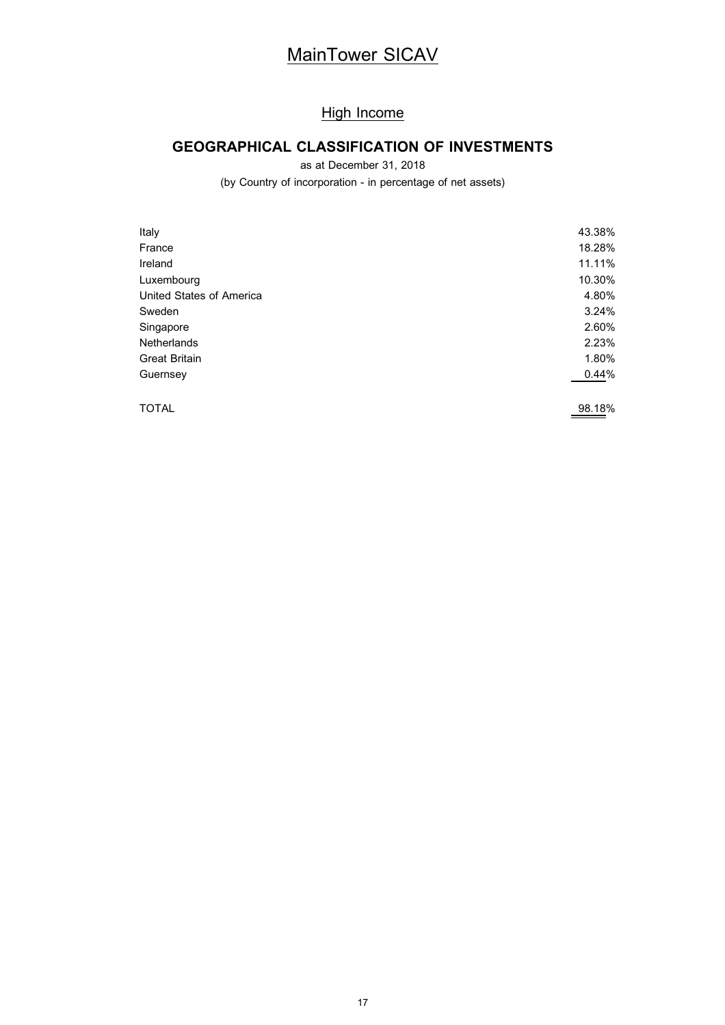# **High Income**

# **GEOGRAPHICAL CLASSIFICATION OF INVESTMENTS**

as at December 31, 2018

(by Country of incorporation - in percentage of net assets)

| Italy                    | 43.38% |
|--------------------------|--------|
| France                   | 18.28% |
| Ireland                  | 11.11% |
| Luxembourg               | 10.30% |
| United States of America | 4.80%  |
| Sweden                   | 3.24%  |
| Singapore                | 2.60%  |
| <b>Netherlands</b>       | 2.23%  |
| <b>Great Britain</b>     | 1.80%  |
| Guernsey                 | 0.44%  |
| <b>TOTAL</b>             | 98.18% |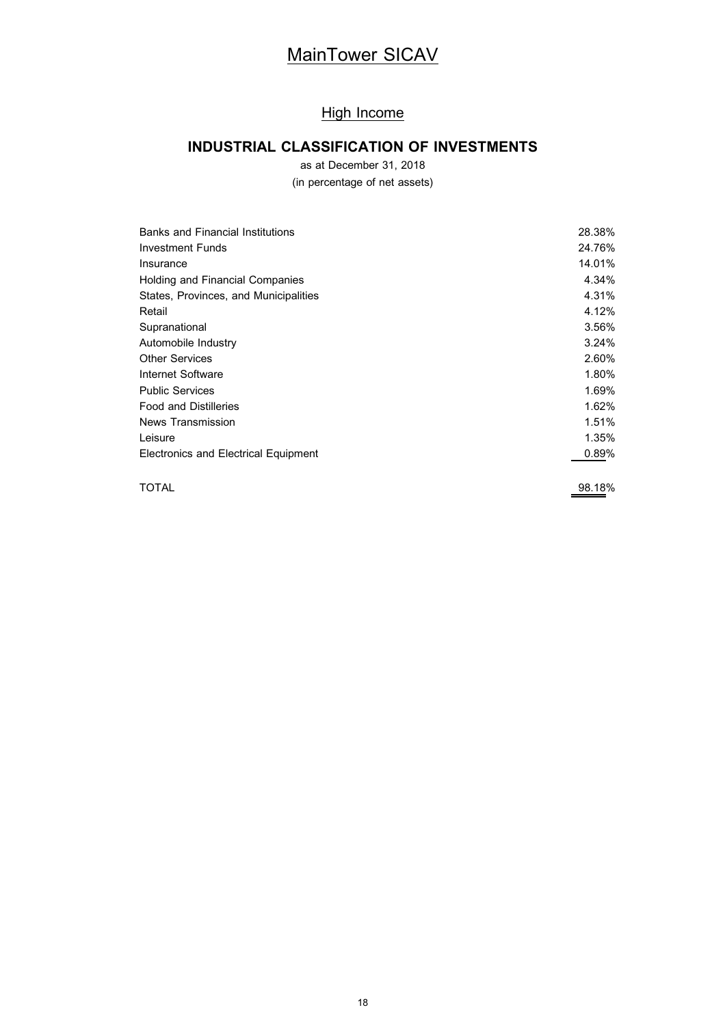# High Income

# **INDUSTRIAL CLASSIFICATION OF INVESTMENTS**

as at December 31, 2018

(in percentage of net assets)

| <b>Banks and Financial Institutions</b> | 28.38% |
|-----------------------------------------|--------|
| Investment Funds                        | 24.76% |
| Insurance                               | 14.01% |
| Holding and Financial Companies         | 4.34%  |
| States, Provinces, and Municipalities   | 4.31%  |
| Retail                                  | 4.12%  |
| Supranational                           | 3.56%  |
| Automobile Industry                     | 3.24%  |
| <b>Other Services</b>                   | 2.60%  |
| Internet Software                       | 1.80%  |
| <b>Public Services</b>                  | 1.69%  |
| <b>Food and Distilleries</b>            | 1.62%  |
| News Transmission                       | 1.51%  |
| Leisure                                 | 1.35%  |
| Electronics and Electrical Equipment    | 0.89%  |
|                                         |        |

TOTAL 98.18%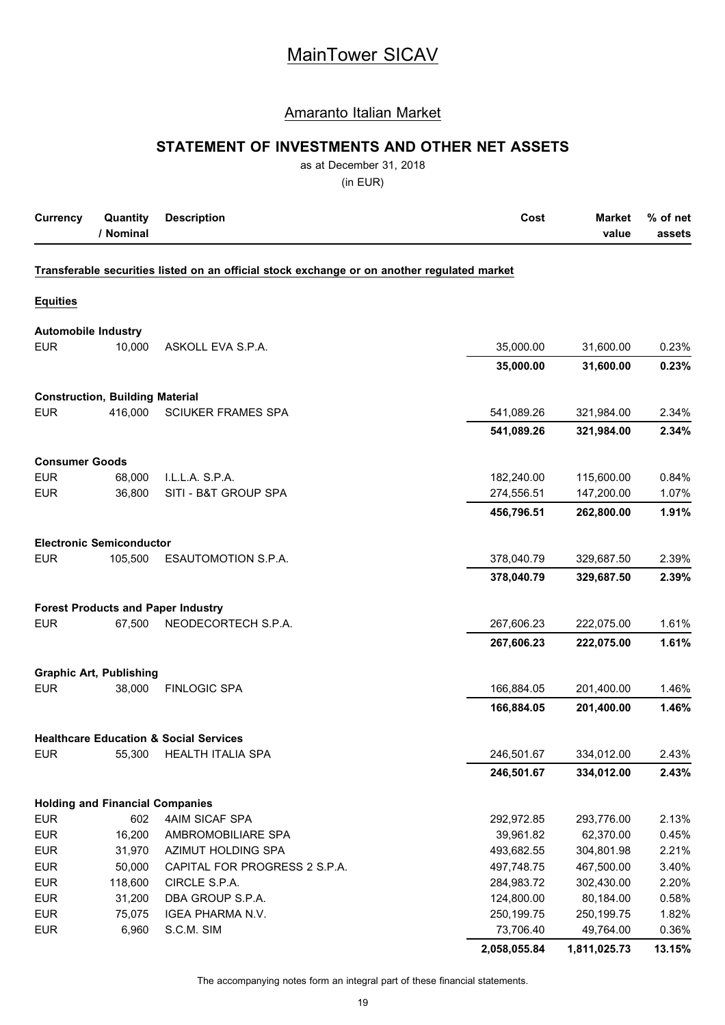### Amaranto Italian Market

### **STATEMENT OF INVESTMENTS AND OTHER NET ASSETS**

as at December 31, 2018

(in EUR)

| <b>Currency</b>            | Quantity<br>/ Nominal                  | <b>Description</b>                                                                          | Cost         | <b>Market</b><br>value | % of net<br>assets |
|----------------------------|----------------------------------------|---------------------------------------------------------------------------------------------|--------------|------------------------|--------------------|
|                            |                                        | Transferable securities listed on an official stock exchange or on another regulated market |              |                        |                    |
| <b>Equities</b>            |                                        |                                                                                             |              |                        |                    |
| <b>Automobile Industry</b> |                                        |                                                                                             |              |                        |                    |
| <b>EUR</b>                 | 10,000                                 | ASKOLL EVA S.P.A.                                                                           | 35,000.00    | 31,600.00              | 0.23%              |
|                            |                                        |                                                                                             | 35,000.00    | 31,600.00              | 0.23%              |
|                            | <b>Construction, Building Material</b> |                                                                                             |              |                        |                    |
| <b>EUR</b>                 | 416,000                                | <b>SCIUKER FRAMES SPA</b>                                                                   | 541,089.26   | 321,984.00             | 2.34%              |
|                            |                                        |                                                                                             | 541,089.26   | 321,984.00             | 2.34%              |
| <b>Consumer Goods</b>      |                                        |                                                                                             |              |                        |                    |
| <b>EUR</b>                 | 68,000                                 | I.L.L.A. S.P.A.                                                                             | 182,240.00   | 115,600.00             | 0.84%              |
| <b>EUR</b>                 | 36,800                                 | SITI - B&T GROUP SPA                                                                        | 274,556.51   | 147,200.00             | 1.07%              |
|                            |                                        |                                                                                             | 456,796.51   | 262,800.00             | 1.91%              |
|                            | <b>Electronic Semiconductor</b>        |                                                                                             |              |                        |                    |
| <b>EUR</b>                 | 105,500                                | ESAUTOMOTION S.P.A.                                                                         | 378,040.79   | 329,687.50             | 2.39%              |
|                            |                                        |                                                                                             | 378,040.79   | 329,687.50             | 2.39%              |
|                            |                                        | <b>Forest Products and Paper Industry</b>                                                   |              |                        |                    |
| <b>EUR</b>                 | 67,500                                 | NEODECORTECH S.P.A.                                                                         | 267,606.23   | 222,075.00             | 1.61%              |
|                            |                                        |                                                                                             | 267,606.23   | 222,075.00             | 1.61%              |
|                            | <b>Graphic Art, Publishing</b>         |                                                                                             |              |                        |                    |
| <b>EUR</b>                 | 38,000                                 | <b>FINLOGIC SPA</b>                                                                         | 166,884.05   | 201,400.00             | 1.46%              |
|                            |                                        |                                                                                             | 166,884.05   | 201,400.00             | 1.46%              |
|                            |                                        | <b>Healthcare Education &amp; Social Services</b>                                           |              |                        |                    |
| <b>EUR</b>                 | 55,300                                 | HEALTH ITALIA SPA                                                                           | 246,501.67   | 334,012.00             | 2.43%              |
|                            |                                        |                                                                                             | 246,501.67   | 334,012.00             | 2.43%              |
|                            | <b>Holding and Financial Companies</b> |                                                                                             |              |                        |                    |
| <b>EUR</b>                 | 602                                    | 4AIM SICAF SPA                                                                              | 292,972.85   | 293,776.00             | 2.13%              |
| <b>EUR</b>                 | 16,200                                 | AMBROMOBILIARE SPA                                                                          | 39,961.82    | 62,370.00              | 0.45%              |
| <b>EUR</b>                 | 31,970                                 | AZIMUT HOLDING SPA                                                                          | 493,682.55   | 304,801.98             | 2.21%              |
| <b>EUR</b>                 | 50,000                                 | CAPITAL FOR PROGRESS 2 S.P.A.                                                               | 497,748.75   | 467,500.00             | 3.40%              |
| <b>EUR</b>                 | 118,600                                | CIRCLE S.P.A.                                                                               | 284,983.72   | 302,430.00             | 2.20%              |
| <b>EUR</b>                 | 31,200                                 | DBA GROUP S.P.A.                                                                            | 124,800.00   | 80,184.00              | 0.58%              |
| <b>EUR</b>                 | 75,075                                 | IGEA PHARMA N.V.                                                                            | 250,199.75   | 250,199.75             | 1.82%              |
| <b>EUR</b>                 | 6,960                                  | S.C.M. SIM                                                                                  | 73,706.40    | 49,764.00              | 0.36%              |
|                            |                                        |                                                                                             | 2,058,055.84 | 1,811,025.73           | 13.15%             |

The accompanying notes form an integral part of these financial statements.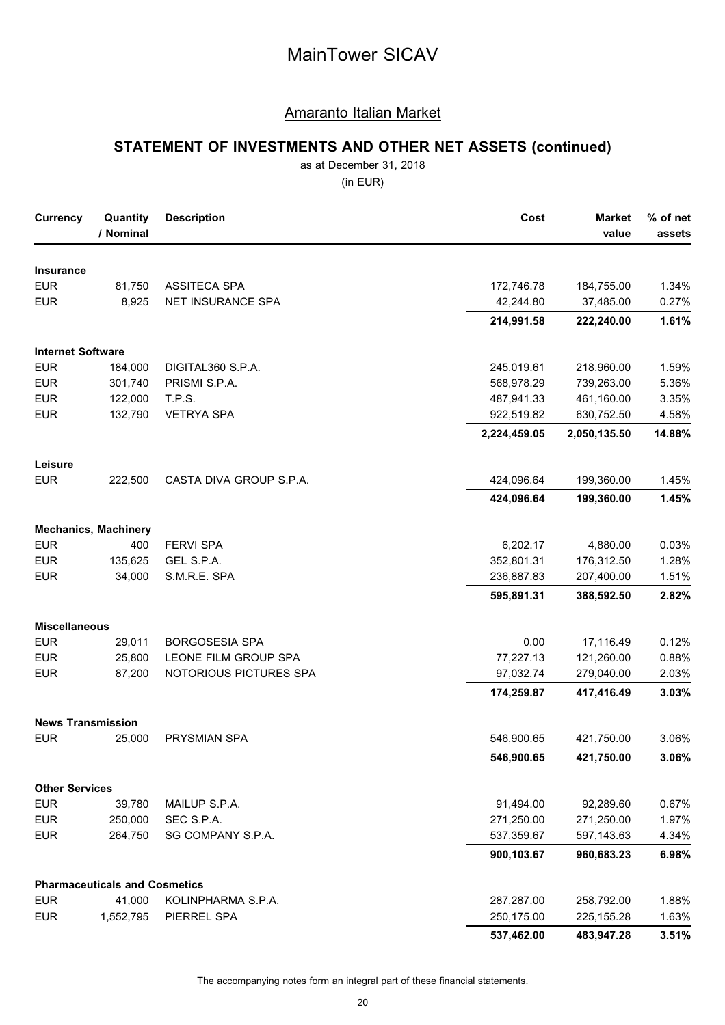### Amaranto Italian Market

# **STATEMENT OF INVESTMENTS AND OTHER NET ASSETS (continued)**

as at December 31, 2018

(in EUR)

| <b>Currency</b>          | Quantity<br>/ Nominal                | <b>Description</b>      | Cost         | <b>Market</b><br>value | % of net<br>assets |
|--------------------------|--------------------------------------|-------------------------|--------------|------------------------|--------------------|
| <b>Insurance</b>         |                                      |                         |              |                        |                    |
| <b>EUR</b>               | 81,750                               | ASSITECA SPA            | 172,746.78   | 184,755.00             | 1.34%              |
| <b>EUR</b>               | 8,925                                | NET INSURANCE SPA       | 42,244.80    | 37,485.00              | 0.27%              |
|                          |                                      |                         | 214,991.58   | 222,240.00             | 1.61%              |
| <b>Internet Software</b> |                                      |                         |              |                        |                    |
| <b>EUR</b>               | 184,000                              | DIGITAL360 S.P.A.       | 245,019.61   | 218,960.00             | 1.59%              |
| <b>EUR</b>               | 301,740                              | PRISMI S.P.A.           | 568,978.29   | 739,263.00             | 5.36%              |
| <b>EUR</b>               | 122,000                              | T.P.S.                  | 487,941.33   | 461,160.00             | 3.35%              |
| <b>EUR</b>               | 132,790                              | <b>VETRYA SPA</b>       | 922,519.82   | 630,752.50             | 4.58%              |
|                          |                                      |                         | 2,224,459.05 | 2,050,135.50           | 14.88%             |
| Leisure                  |                                      |                         |              |                        |                    |
| <b>EUR</b>               | 222,500                              | CASTA DIVA GROUP S.P.A. | 424,096.64   | 199,360.00             | 1.45%              |
|                          |                                      |                         | 424,096.64   | 199,360.00             | 1.45%              |
|                          | <b>Mechanics, Machinery</b>          |                         |              |                        |                    |
| <b>EUR</b>               | 400                                  | <b>FERVI SPA</b>        | 6,202.17     | 4,880.00               | 0.03%              |
| <b>EUR</b>               | 135,625                              | GEL S.P.A.              | 352,801.31   | 176,312.50             | 1.28%              |
| <b>EUR</b>               | 34,000                               | S.M.R.E. SPA            | 236,887.83   | 207,400.00             | 1.51%              |
|                          |                                      |                         | 595,891.31   | 388,592.50             | 2.82%              |
| <b>Miscellaneous</b>     |                                      |                         |              |                        |                    |
| <b>EUR</b>               | 29,011                               | <b>BORGOSESIA SPA</b>   | 0.00         | 17,116.49              | 0.12%              |
| <b>EUR</b>               | 25,800                               | LEONE FILM GROUP SPA    | 77,227.13    | 121,260.00             | 0.88%              |
| <b>EUR</b>               | 87,200                               | NOTORIOUS PICTURES SPA  | 97,032.74    | 279,040.00             | 2.03%              |
|                          |                                      |                         | 174,259.87   | 417,416.49             | 3.03%              |
| <b>News Transmission</b> |                                      |                         |              |                        |                    |
| <b>EUR</b>               | 25,000                               | PRYSMIAN SPA            | 546,900.65   | 421,750.00             | 3.06%              |
|                          |                                      |                         | 546,900.65   | 421,750.00             | 3.06%              |
| <b>Other Services</b>    |                                      |                         |              |                        |                    |
| <b>EUR</b>               | 39,780                               | MAILUP S.P.A.           | 91,494.00    | 92,289.60              | 0.67%              |
| <b>EUR</b>               | 250,000                              | SEC S.P.A.              | 271,250.00   | 271,250.00             | 1.97%              |
| <b>EUR</b>               | 264,750                              | SG COMPANY S.P.A.       | 537,359.67   | 597,143.63             | 4.34%              |
|                          |                                      |                         | 900,103.67   | 960,683.23             | 6.98%              |
|                          | <b>Pharmaceuticals and Cosmetics</b> |                         |              |                        |                    |
| <b>EUR</b>               | 41,000                               | KOLINPHARMA S.P.A.      | 287,287.00   | 258,792.00             | 1.88%              |
| <b>EUR</b>               | 1,552,795                            | PIERREL SPA             | 250,175.00   | 225, 155. 28           | 1.63%              |
|                          |                                      |                         | 537,462.00   | 483,947.28             | 3.51%              |

The accompanying notes form an integral part of these financial statements.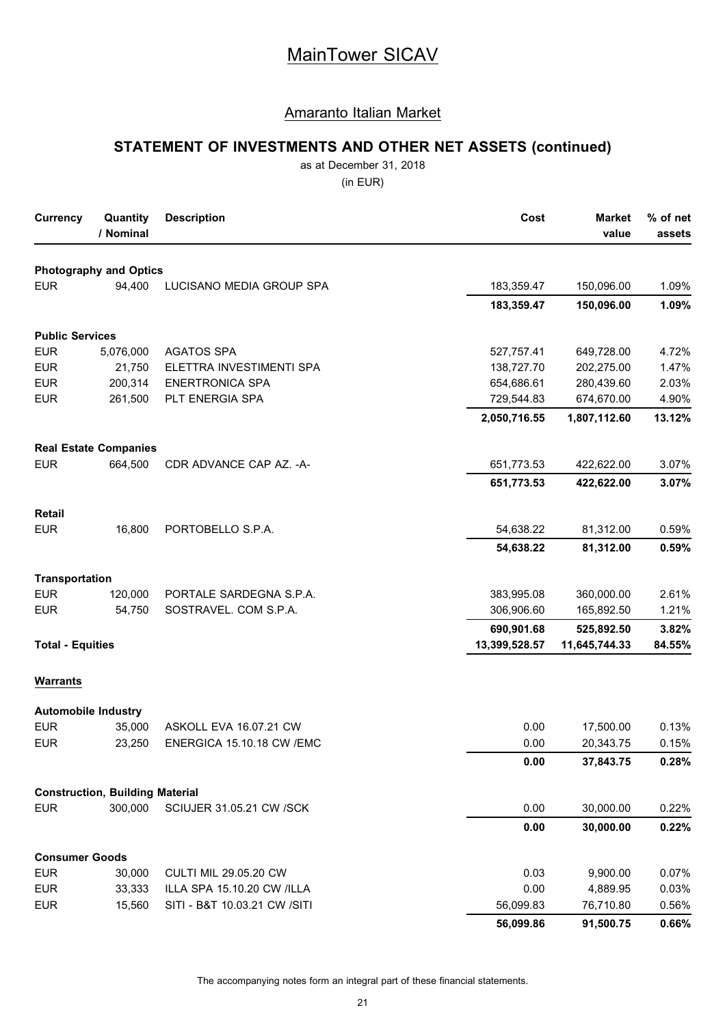### Amaranto Italian Market

# **STATEMENT OF INVESTMENTS AND OTHER NET ASSETS (continued)**

as at December 31, 2018

(in EUR)

| <b>Currency</b>            | Quantity<br>/ Nominal                  | <b>Description</b>               | Cost          | <b>Market</b><br>value | % of net<br>assets |
|----------------------------|----------------------------------------|----------------------------------|---------------|------------------------|--------------------|
|                            | <b>Photography and Optics</b>          |                                  |               |                        |                    |
| <b>EUR</b>                 | 94,400                                 | LUCISANO MEDIA GROUP SPA         | 183,359.47    | 150,096.00             | 1.09%              |
|                            |                                        |                                  | 183,359.47    | 150,096.00             | 1.09%              |
| <b>Public Services</b>     |                                        |                                  |               |                        |                    |
| <b>EUR</b>                 | 5,076,000                              | <b>AGATOS SPA</b>                | 527,757.41    | 649,728.00             | 4.72%              |
| <b>EUR</b>                 | 21,750                                 | ELETTRA INVESTIMENTI SPA         | 138,727.70    | 202,275.00             | 1.47%              |
| <b>EUR</b>                 | 200,314                                | <b>ENERTRONICA SPA</b>           | 654,686.61    | 280,439.60             | 2.03%              |
| <b>EUR</b>                 | 261,500                                | PLT ENERGIA SPA                  | 729,544.83    | 674,670.00             | 4.90%              |
|                            |                                        |                                  | 2,050,716.55  | 1,807,112.60           | 13.12%             |
|                            | <b>Real Estate Companies</b>           |                                  |               |                        |                    |
| <b>EUR</b>                 | 664,500                                | CDR ADVANCE CAP AZ. - A-         | 651,773.53    | 422,622.00             | 3.07%              |
|                            |                                        |                                  | 651,773.53    | 422,622.00             | 3.07%              |
| Retail                     |                                        |                                  |               |                        |                    |
| <b>EUR</b>                 | 16,800                                 | PORTOBELLO S.P.A.                | 54,638.22     | 81,312.00              | 0.59%              |
|                            |                                        |                                  | 54,638.22     | 81,312.00              | 0.59%              |
| <b>Transportation</b>      |                                        |                                  |               |                        |                    |
| <b>EUR</b>                 | 120,000                                | PORTALE SARDEGNA S.P.A.          | 383,995.08    | 360,000.00             | 2.61%              |
| <b>EUR</b>                 | 54,750                                 | SOSTRAVEL. COM S.P.A.            | 306,906.60    | 165,892.50             | 1.21%              |
|                            |                                        |                                  | 690,901.68    | 525,892.50             | 3.82%              |
| <b>Total - Equities</b>    |                                        |                                  | 13,399,528.57 | 11,645,744.33          | 84.55%             |
| <b>Warrants</b>            |                                        |                                  |               |                        |                    |
| <b>Automobile Industry</b> |                                        |                                  |               |                        |                    |
| <b>EUR</b>                 | 35,000                                 | ASKOLL EVA 16.07.21 CW           | 0.00          | 17,500.00              | 0.13%              |
| <b>EUR</b>                 | 23,250                                 | <b>ENERGICA 15.10.18 CW /EMC</b> | 0.00          | 20,343.75              | 0.15%              |
|                            |                                        |                                  | 0.00          | 37,843.75              | 0.28%              |
|                            | <b>Construction, Building Material</b> |                                  |               |                        |                    |
| <b>EUR</b>                 | 300,000                                | SCIUJER 31.05.21 CW /SCK         | 0.00          | 30,000.00              | 0.22%              |
|                            |                                        |                                  | 0.00          | 30,000.00              | 0.22%              |
| <b>Consumer Goods</b>      |                                        |                                  |               |                        |                    |
| <b>EUR</b>                 | 30,000                                 | <b>CULTI MIL 29.05.20 CW</b>     | 0.03          | 9,900.00               | 0.07%              |
| <b>EUR</b>                 | 33,333                                 | ILLA SPA 15.10.20 CW /ILLA       | 0.00          | 4,889.95               | 0.03%              |
| <b>EUR</b>                 | 15,560                                 | SITI - B&T 10.03.21 CW /SITI     | 56,099.83     | 76,710.80              | 0.56%              |
|                            |                                        |                                  | 56,099.86     | 91,500.75              | 0.66%              |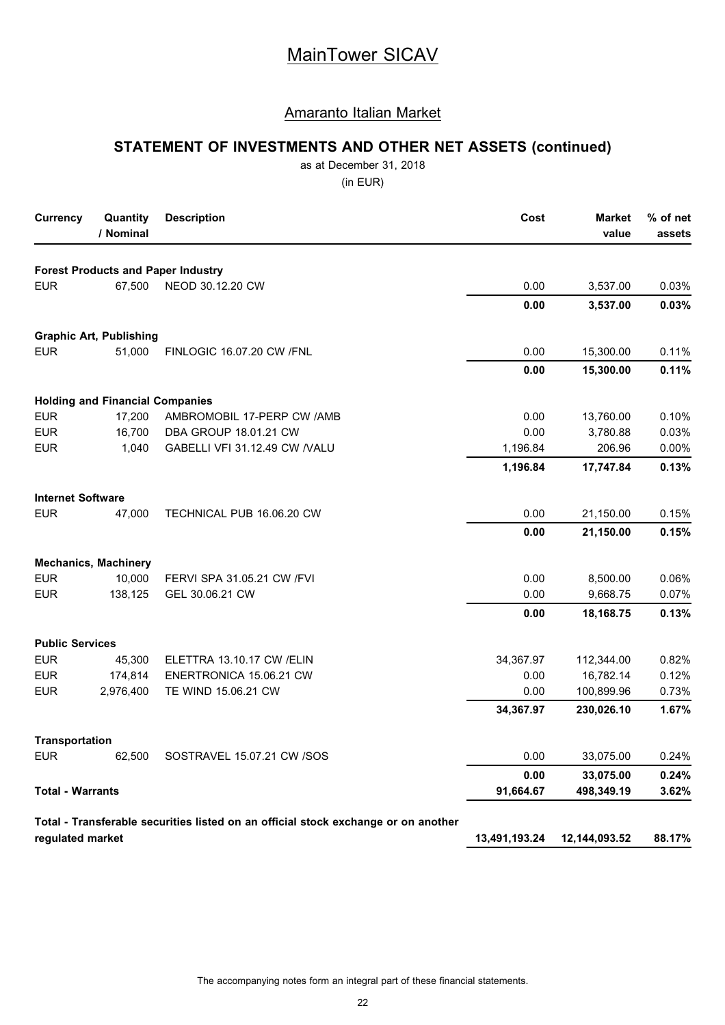### Amaranto Italian Market

# **STATEMENT OF INVESTMENTS AND OTHER NET ASSETS (continued)**

as at December 31, 2018

(in EUR)

| <b>Currency</b>          | Quantity<br>/ Nominal                  | <b>Description</b>                                                                 | Cost          | <b>Market</b><br>value | % of net<br>assets |
|--------------------------|----------------------------------------|------------------------------------------------------------------------------------|---------------|------------------------|--------------------|
|                          |                                        | <b>Forest Products and Paper Industry</b>                                          |               |                        |                    |
| <b>EUR</b>               | 67,500                                 | NEOD 30.12.20 CW                                                                   | 0.00          | 3,537.00               | 0.03%              |
|                          |                                        |                                                                                    | 0.00          | 3,537.00               | 0.03%              |
|                          | <b>Graphic Art, Publishing</b>         |                                                                                    |               |                        |                    |
| <b>EUR</b>               | 51,000                                 | <b>FINLOGIC 16.07.20 CW /FNL</b>                                                   | 0.00          | 15,300.00              | 0.11%              |
|                          |                                        |                                                                                    | 0.00          | 15,300.00              | 0.11%              |
|                          | <b>Holding and Financial Companies</b> |                                                                                    |               |                        |                    |
| <b>EUR</b>               | 17,200                                 | AMBROMOBIL 17-PERP CW /AMB                                                         | 0.00          | 13,760.00              | 0.10%              |
| <b>EUR</b>               | 16,700                                 | DBA GROUP 18.01.21 CW                                                              | 0.00          | 3,780.88               | 0.03%              |
| <b>EUR</b>               | 1,040                                  | GABELLI VFI 31.12.49 CW /VALU                                                      | 1,196.84      | 206.96                 | 0.00%              |
|                          |                                        |                                                                                    | 1,196.84      | 17,747.84              | 0.13%              |
| <b>Internet Software</b> |                                        |                                                                                    |               |                        |                    |
| <b>EUR</b>               | 47,000                                 | TECHNICAL PUB 16.06.20 CW                                                          | 0.00          | 21,150.00              | 0.15%              |
|                          |                                        |                                                                                    | 0.00          | 21,150.00              | 0.15%              |
|                          | <b>Mechanics, Machinery</b>            |                                                                                    |               |                        |                    |
| <b>EUR</b>               | 10,000                                 | FERVI SPA 31.05.21 CW /FVI                                                         | 0.00          | 8,500.00               | 0.06%              |
| <b>EUR</b>               | 138,125                                | GEL 30.06.21 CW                                                                    | 0.00          | 9,668.75               | 0.07%              |
|                          |                                        |                                                                                    | 0.00          | 18,168.75              | 0.13%              |
| <b>Public Services</b>   |                                        |                                                                                    |               |                        |                    |
| <b>EUR</b>               | 45,300                                 | ELETTRA 13.10.17 CW /ELIN                                                          | 34,367.97     | 112,344.00             | 0.82%              |
| <b>EUR</b>               | 174,814                                | ENERTRONICA 15.06.21 CW                                                            | 0.00          | 16,782.14              | 0.12%              |
| <b>EUR</b>               | 2,976,400                              | TE WIND 15.06.21 CW                                                                | 0.00          | 100,899.96             | 0.73%              |
|                          |                                        |                                                                                    | 34,367.97     | 230,026.10             | 1.67%              |
| <b>Transportation</b>    |                                        |                                                                                    |               |                        |                    |
| <b>EUR</b>               | 62,500                                 | SOSTRAVEL 15.07.21 CW /SOS                                                         | 0.00          | 33,075.00              | 0.24%              |
|                          |                                        |                                                                                    | 0.00          | 33,075.00              | 0.24%              |
| <b>Total - Warrants</b>  |                                        |                                                                                    | 91,664.67     | 498,349.19             | 3.62%              |
| regulated market         |                                        | Total - Transferable securities listed on an official stock exchange or on another | 13,491,193.24 | 12,144,093.52          | 88.17%             |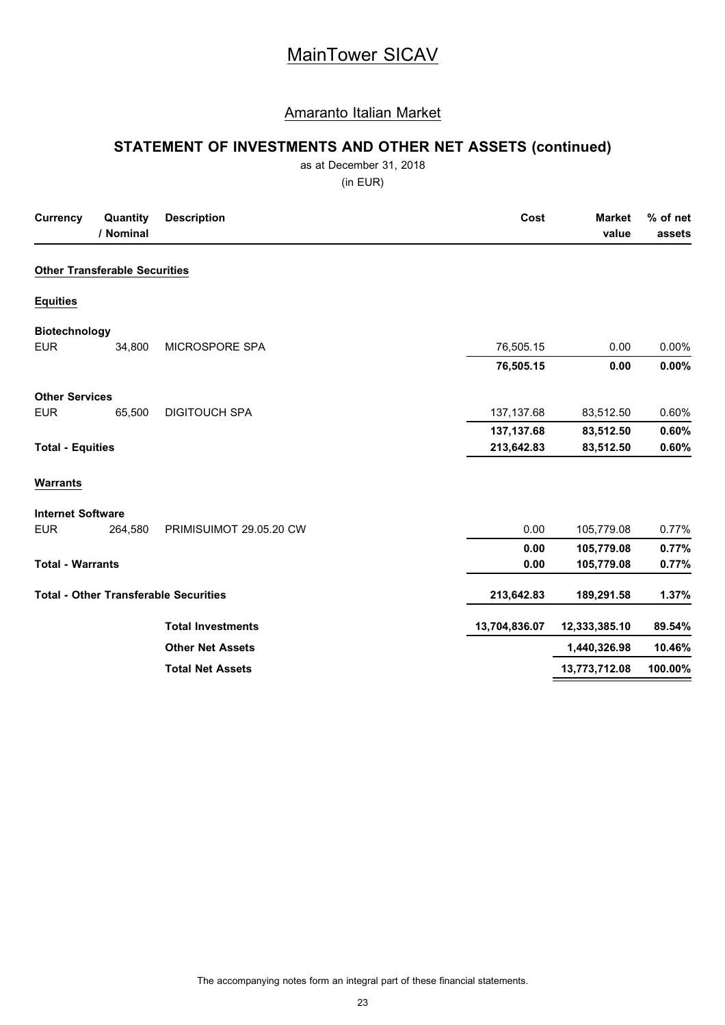### Amaranto Italian Market

# **STATEMENT OF INVESTMENTS AND OTHER NET ASSETS (continued)**

as at December 31, 2018

(in EUR)

| <b>Currency</b>          | Quantity<br>/ Nominal                | <b>Description</b>                           | Cost          | <b>Market</b><br>value | % of net<br>assets |
|--------------------------|--------------------------------------|----------------------------------------------|---------------|------------------------|--------------------|
|                          | <b>Other Transferable Securities</b> |                                              |               |                        |                    |
| <b>Equities</b>          |                                      |                                              |               |                        |                    |
| <b>Biotechnology</b>     |                                      |                                              |               |                        |                    |
| <b>EUR</b>               | 34,800                               | MICROSPORE SPA                               | 76,505.15     | 0.00                   | 0.00%              |
|                          |                                      |                                              | 76,505.15     | 0.00                   | 0.00%              |
| <b>Other Services</b>    |                                      |                                              |               |                        |                    |
| <b>EUR</b>               | 65,500                               | <b>DIGITOUCH SPA</b>                         | 137, 137.68   | 83,512.50              | 0.60%              |
|                          |                                      |                                              | 137, 137.68   | 83,512.50              | 0.60%              |
| <b>Total - Equities</b>  |                                      |                                              | 213,642.83    | 83,512.50              | 0.60%              |
| <b>Warrants</b>          |                                      |                                              |               |                        |                    |
| <b>Internet Software</b> |                                      |                                              |               |                        |                    |
| <b>EUR</b>               | 264,580                              | PRIMISUIMOT 29.05.20 CW                      | 0.00          | 105,779.08             | 0.77%              |
|                          |                                      |                                              | 0.00          | 105,779.08             | 0.77%              |
| <b>Total - Warrants</b>  |                                      |                                              | 0.00          | 105,779.08             | 0.77%              |
|                          |                                      | <b>Total - Other Transferable Securities</b> | 213,642.83    | 189,291.58             | 1.37%              |
|                          |                                      | <b>Total Investments</b>                     | 13,704,836.07 | 12,333,385.10          | 89.54%             |
|                          |                                      | <b>Other Net Assets</b>                      |               | 1,440,326.98           | 10.46%             |
|                          |                                      | <b>Total Net Assets</b>                      |               | 13,773,712.08          | 100.00%            |

The accompanying notes form an integral part of these financial statements.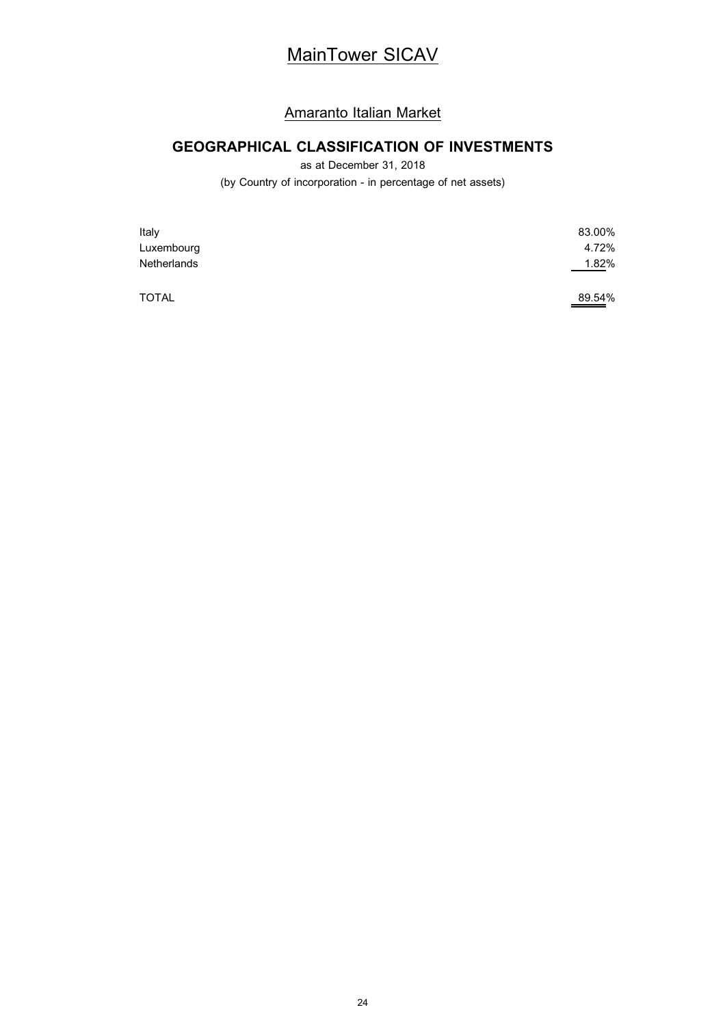### Amaranto Italian Market

# **GEOGRAPHICAL CLASSIFICATION OF INVESTMENTS**

as at December 31, 2018

(by Country of incorporation - in percentage of net assets)

| Italy        | 83.00% |
|--------------|--------|
| Luxembourg   | 4.72%  |
| Netherlands  | 1.82%  |
| <b>TOTAL</b> | 89.54% |

24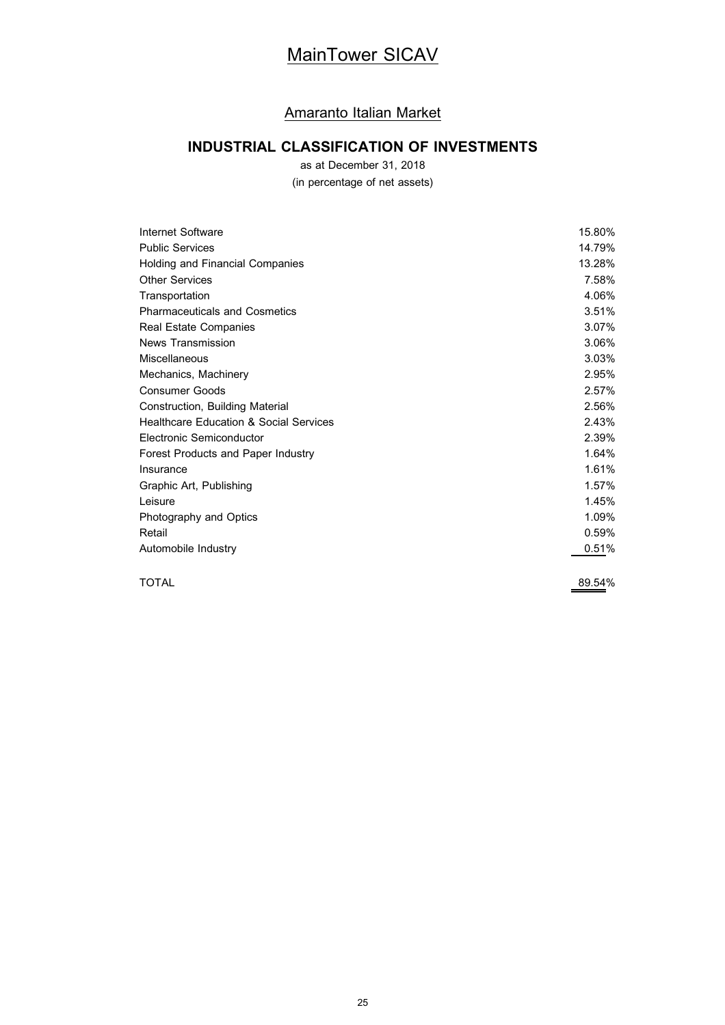### Amaranto Italian Market

# **INDUSTRIAL CLASSIFICATION OF INVESTMENTS**

as at December 31, 2018

(in percentage of net assets)

| Internet Software                                 | 15.80% |
|---------------------------------------------------|--------|
| <b>Public Services</b>                            | 14.79% |
| Holding and Financial Companies                   | 13.28% |
| <b>Other Services</b>                             | 7.58%  |
| Transportation                                    | 4.06%  |
| <b>Pharmaceuticals and Cosmetics</b>              | 3.51%  |
| Real Estate Companies                             | 3.07%  |
| News Transmission                                 | 3.06%  |
| Miscellaneous                                     | 3.03%  |
| Mechanics, Machinery                              | 2.95%  |
| <b>Consumer Goods</b>                             | 2.57%  |
| Construction, Building Material                   | 2.56%  |
| <b>Healthcare Education &amp; Social Services</b> | 2.43%  |
| Electronic Semiconductor                          | 2.39%  |
| Forest Products and Paper Industry                | 1.64%  |
| Insurance                                         | 1.61%  |
| Graphic Art, Publishing                           | 1.57%  |
| Leisure                                           | 1.45%  |
| Photography and Optics                            | 1.09%  |
| Retail                                            | 0.59%  |
| Automobile Industry                               | 0.51%  |
|                                                   |        |

TOTAL 89.54%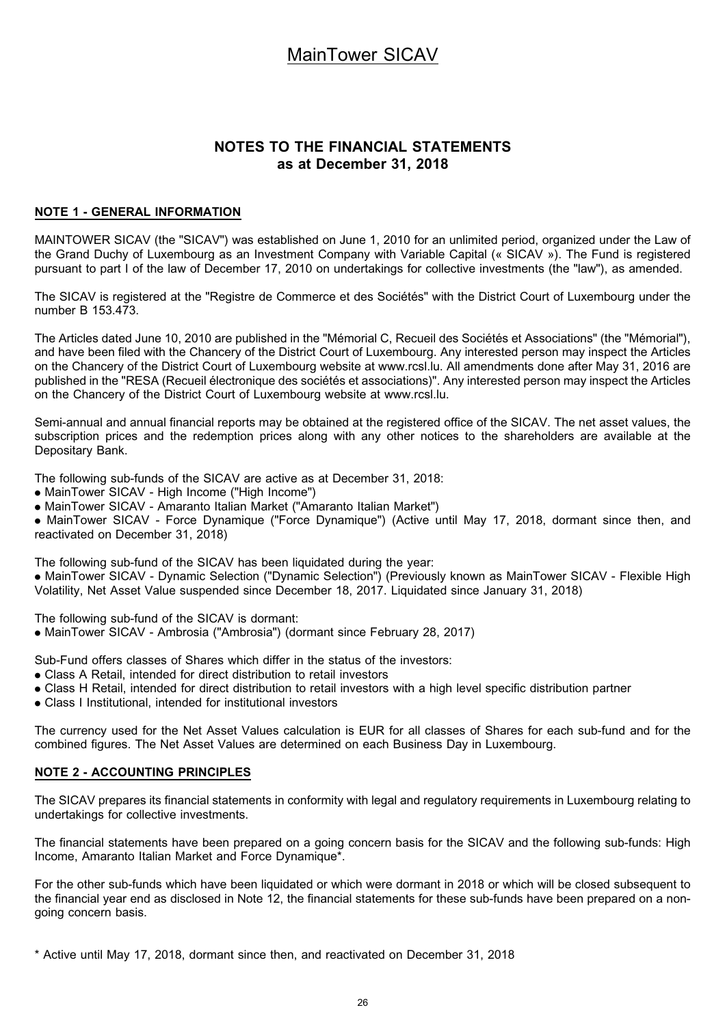### **NOTES TO THE FINANCIAL STATEMENTS as at December 31, 2018**

#### **NOTE 1 - GENERAL INFORMATION**

MAINTOWER SICAV (the "SICAV") was established on June 1, 2010 for an unlimited period, organized under the Law of the Grand Duchy of Luxembourg as an Investment Company with Variable Capital (« SICAV »). The Fund is registered pursuant to part I of the law of December 17, 2010 on undertakings for collective investments (the "law"), as amended.

The SICAV is registered at the "Registre de Commerce et des Sociétés" with the District Court of Luxembourg under the number B 153.473.

The Articles dated June 10, 2010 are published in the "Mémorial C, Recueil des Sociétés et Associations" (the "Mémorial"), and have been filed with the Chancery of the District Court of Luxembourg. Any interested person may inspect the Articles on the Chancery of the District Court of Luxembourg website at www.rcsl.lu. All amendments done after May 31, 2016 are published in the "RESA (Recueil électronique des sociétés et associations)". Any interested person may inspect the Articles on the Chancery of the District Court of Luxembourg website at www.rcsl.lu.

Semi-annual and annual financial reports may be obtained at the registered office of the SICAV. The net asset values, the subscription prices and the redemption prices along with any other notices to the shareholders are available at the Depositary Bank.

The following sub-funds of the SICAV are active as at December 31, 2018:

- . MainTower SICAV High Income ("High Income")
- . MainTower SICAV Amaranto Italian Market ("Amaranto Italian Market")

. MainTower SICAV - Force Dynamique ("Force Dynamique") (Active until May 17, 2018, dormant since then, and reactivated on December 31, 2018)

The following sub-fund of the SICAV has been liquidated during the year:

. MainTower SICAV - Dynamic Selection ("Dynamic Selection") (Previously known as MainTower SICAV - Flexible High Volatility, Net Asset Value suspended since December 18, 2017. Liquidated since January 31, 2018)

The following sub-fund of the SICAV is dormant:

. MainTower SICAV - Ambrosia ("Ambrosia") (dormant since February 28, 2017)

Sub-Fund offers classes of Shares which differ in the status of the investors:

- . Class A Retail, intended for direct distribution to retail investors
- . Class H Retail, intended for direct distribution to retail investors with a high level specific distribution partner
- . Class I Institutional, intended for institutional investors

The currency used for the Net Asset Values calculation is EUR for all classes of Shares for each sub-fund and for the combined figures. The Net Asset Values are determined on each Business Day in Luxembourg.

### **NOTE 2 - ACCOUNTING PRINCIPLES**

The SICAV prepares its financial statements in conformity with legal and regulatory requirements in Luxembourg relating to undertakings for collective investments.

The financial statements have been prepared on a going concern basis for the SICAV and the following sub-funds: High Income, Amaranto Italian Market and Force Dynamique\*.

For the other sub-funds which have been liquidated or which were dormant in 2018 or which will be closed subsequent to the financial year end as disclosed in Note 12, the financial statements for these sub-funds have been prepared on a nongoing concern basis.

<sup>\*</sup> Active until May 17, 2018, dormant since then, and reactivated on December 31, 2018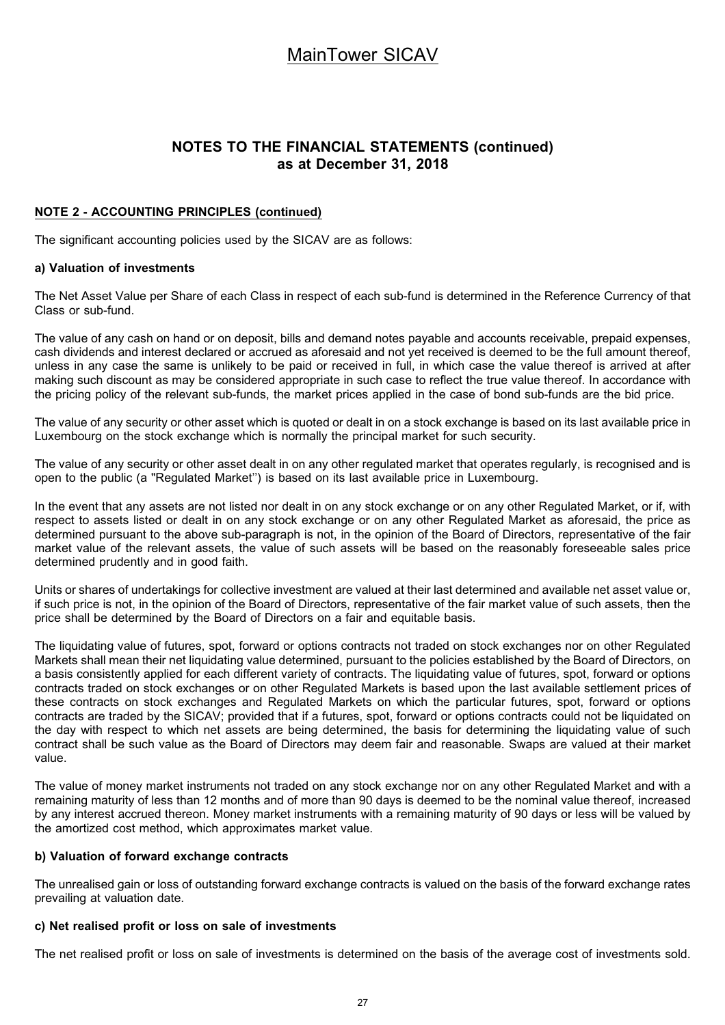### **NOTES TO THE FINANCIAL STATEMENTS (continued) as at December 31, 2018**

### **NOTE 2 - ACCOUNTING PRINCIPLES (continued)**

The significant accounting policies used by the SICAV are as follows:

#### **a) Valuation of investments**

The Net Asset Value per Share of each Class in respect of each sub-fund is determined in the Reference Currency of that Class or sub-fund.

The value of any cash on hand or on deposit, bills and demand notes payable and accounts receivable, prepaid expenses, cash dividends and interest declared or accrued as aforesaid and not yet received is deemed to be the full amount thereof, unless in any case the same is unlikely to be paid or received in full, in which case the value thereof is arrived at after making such discount as may be considered appropriate in such case to reflect the true value thereof. In accordance with the pricing policy of the relevant sub-funds, the market prices applied in the case of bond sub-funds are the bid price.

The value of any security or other asset which is quoted or dealt in on a stock exchange is based on its last available price in Luxembourg on the stock exchange which is normally the principal market for such security.

The value of any security or other asset dealt in on any other regulated market that operates regularly, is recognised and is open to the public (a "Regulated Market'') is based on its last available price in Luxembourg.

In the event that any assets are not listed nor dealt in on any stock exchange or on any other Regulated Market, or if, with respect to assets listed or dealt in on any stock exchange or on any other Regulated Market as aforesaid, the price as determined pursuant to the above sub-paragraph is not, in the opinion of the Board of Directors, representative of the fair market value of the relevant assets, the value of such assets will be based on the reasonably foreseeable sales price determined prudently and in good faith.

Units or shares of undertakings for collective investment are valued at their last determined and available net asset value or, if such price is not, in the opinion of the Board of Directors, representative of the fair market value of such assets, then the price shall be determined by the Board of Directors on a fair and equitable basis.

The liquidating value of futures, spot, forward or options contracts not traded on stock exchanges nor on other Regulated Markets shall mean their net liquidating value determined, pursuant to the policies established by the Board of Directors, on a basis consistently applied for each different variety of contracts. The liquidating value of futures, spot, forward or options contracts traded on stock exchanges or on other Regulated Markets is based upon the last available settlement prices of these contracts on stock exchanges and Regulated Markets on which the particular futures, spot, forward or options contracts are traded by the SICAV; provided that if a futures, spot, forward or options contracts could not be liquidated on the day with respect to which net assets are being determined, the basis for determining the liquidating value of such contract shall be such value as the Board of Directors may deem fair and reasonable. Swaps are valued at their market value.

The value of money market instruments not traded on any stock exchange nor on any other Regulated Market and with a remaining maturity of less than 12 months and of more than 90 days is deemed to be the nominal value thereof, increased by any interest accrued thereon. Money market instruments with a remaining maturity of 90 days or less will be valued by the amortized cost method, which approximates market value.

#### **b) Valuation of forward exchange contracts**

The unrealised gain or loss of outstanding forward exchange contracts is valued on the basis of the forward exchange rates prevailing at valuation date.

### **c) Net realised profit or loss on sale of investments**

The net realised profit or loss on sale of investments is determined on the basis of the average cost of investments sold.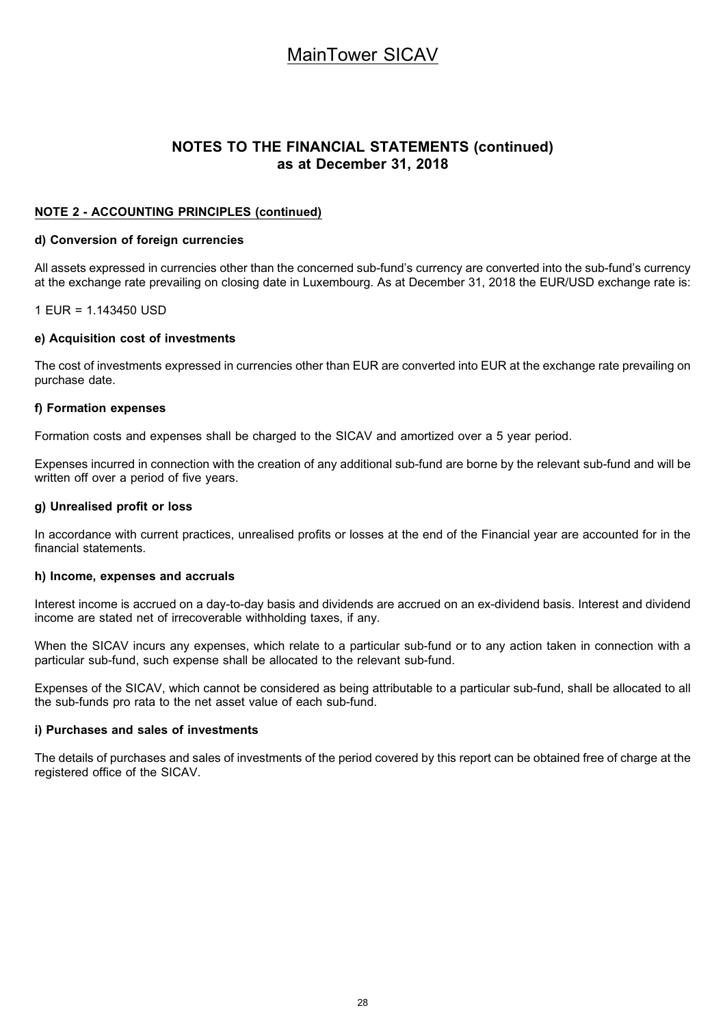### **NOTES TO THE FINANCIAL STATEMENTS (continued) as at December 31, 2018**

### **NOTE 2 - ACCOUNTING PRINCIPLES (continued)**

#### **d) Conversion of foreign currencies**

All assets expressed in currencies other than the concerned sub-fund's currency are converted into the sub-fund's currency at the exchange rate prevailing on closing date in Luxembourg. As at December 31, 2018 the EUR/USD exchange rate is:

1 EUR = 1.143450 USD

#### **e) Acquisition cost of investments**

The cost of investments expressed in currencies other than EUR are converted into EUR at the exchange rate prevailing on purchase date.

#### **f) Formation expenses**

Formation costs and expenses shall be charged to the SICAV and amortized over a 5 year period.

Expenses incurred in connection with the creation of any additional sub-fund are borne by the relevant sub-fund and will be written off over a period of five years.

#### **g) Unrealised profit or loss**

In accordance with current practices, unrealised profits or losses at the end of the Financial year are accounted for in the financial statements.

#### **h) Income, expenses and accruals**

Interest income is accrued on a day-to-day basis and dividends are accrued on an ex-dividend basis. Interest and dividend income are stated net of irrecoverable withholding taxes, if any.

When the SICAV incurs any expenses, which relate to a particular sub-fund or to any action taken in connection with a particular sub-fund, such expense shall be allocated to the relevant sub-fund.

Expenses of the SICAV, which cannot be considered as being attributable to a particular sub-fund, shall be allocated to all the sub-funds pro rata to the net asset value of each sub-fund.

#### **i) Purchases and sales of investments**

The details of purchases and sales of investments of the period covered by this report can be obtained free of charge at the registered office of the SICAV.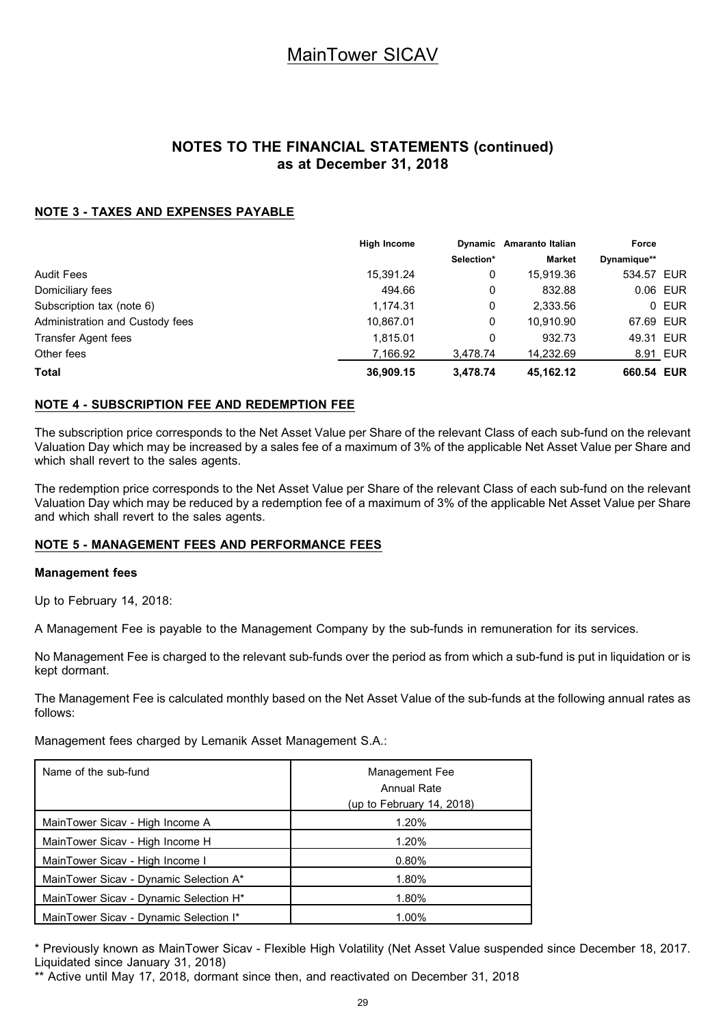### **NOTES TO THE FINANCIAL STATEMENTS (continued) as at December 31, 2018**

### **NOTE 3 - TAXES AND EXPENSES PAYABLE**

|                                 | <b>High Income</b> |            | Dynamic Amaranto Italian | Force       |          |
|---------------------------------|--------------------|------------|--------------------------|-------------|----------|
|                                 |                    | Selection* | <b>Market</b>            | Dynamique** |          |
| <b>Audit Fees</b>               | 15,391.24          | 0          | 15.919.36                | 534.57 EUR  |          |
| Domiciliary fees                | 494.66             | 0          | 832.88                   |             | 0.06 EUR |
| Subscription tax (note 6)       | 1,174.31           | 0          | 2,333.56                 |             | 0 EUR    |
| Administration and Custody fees | 10,867.01          | 0          | 10.910.90                | 67.69 EUR   |          |
| Transfer Agent fees             | 1.815.01           | 0          | 932.73                   | 49.31 EUR   |          |
| Other fees                      | 7.166.92           | 3,478.74   | 14.232.69                |             | 8.91 EUR |
| <b>Total</b>                    | 36,909.15          | 3.478.74   | 45,162.12                | 660.54 EUR  |          |

### **NOTE 4 - SUBSCRIPTION FEE AND REDEMPTION FEE**

The subscription price corresponds to the Net Asset Value per Share of the relevant Class of each sub-fund on the relevant Valuation Day which may be increased by a sales fee of a maximum of 3% of the applicable Net Asset Value per Share and which shall revert to the sales agents.

The redemption price corresponds to the Net Asset Value per Share of the relevant Class of each sub-fund on the relevant Valuation Day which may be reduced by a redemption fee of a maximum of 3% of the applicable Net Asset Value per Share and which shall revert to the sales agents.

### **NOTE 5 - MANAGEMENT FEES AND PERFORMANCE FEES**

#### **Management fees**

Up to February 14, 2018:

A Management Fee is payable to the Management Company by the sub-funds in remuneration for its services.

No Management Fee is charged to the relevant sub-funds over the period as from which a sub-fund is put in liquidation or is kept dormant.

The Management Fee is calculated monthly based on the Net Asset Value of the sub-funds at the following annual rates as follows:

Management fees charged by Lemanik Asset Management S.A.:

| Name of the sub-fund                               | Management Fee<br>Annual Rate<br>(up to February 14, 2018) |
|----------------------------------------------------|------------------------------------------------------------|
| MainTower Sicav - High Income A                    | 1.20%                                                      |
| MainTower Sicav - High Income H                    | 1.20%                                                      |
| MainTower Sicav - High Income I                    | $0.80\%$                                                   |
| MainTower Sicav - Dynamic Selection A*             | 1.80%                                                      |
| MainTower Sicav - Dynamic Selection H <sup>*</sup> | 1.80%                                                      |
| MainTower Sicav - Dynamic Selection I*             | 1.00%                                                      |

\* Previously known as MainTower Sicav - Flexible High Volatility (Net Asset Value suspended since December 18, 2017. Liquidated since January 31, 2018)

\*\* Active until May 17, 2018, dormant since then, and reactivated on December 31, 2018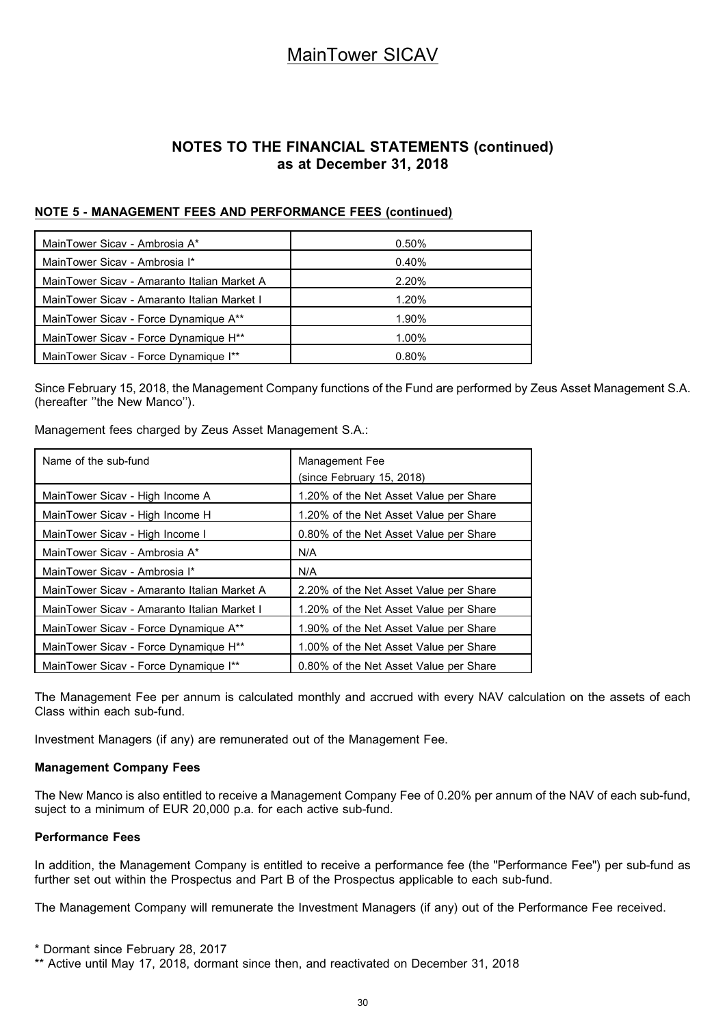### **NOTES TO THE FINANCIAL STATEMENTS (continued) as at December 31, 2018**

### **NOTE 5 - MANAGEMENT FEES AND PERFORMANCE FEES (continued)**

| MainTower Sicay - Ambrosia A*                     | 0.50% |
|---------------------------------------------------|-------|
| MainTower Sicav - Ambrosia I*                     | 0.40% |
| MainTower Sicay - Amaranto Italian Market A       | 2.20% |
| MainTower Sicay - Amaranto Italian Market I       | 1.20% |
| MainTower Sicav - Force Dynamique A**             | 1.90% |
| MainTower Sicav - Force Dynamique H <sup>**</sup> | 1.00% |
| MainTower Sicav - Force Dynamique I**             | 0.80% |

Since February 15, 2018, the Management Company functions of the Fund are performed by Zeus Asset Management S.A. (hereafter ''the New Manco'').

Management fees charged by Zeus Asset Management S.A.:

| Name of the sub-fund                              | Management Fee<br>(since February 15, 2018) |
|---------------------------------------------------|---------------------------------------------|
| MainTower Sicav - High Income A                   | 1.20% of the Net Asset Value per Share      |
| MainTower Sicav - High Income H                   | 1.20% of the Net Asset Value per Share      |
| MainTower Sicav - High Income I                   | 0.80% of the Net Asset Value per Share      |
| MainTower Sicay - Ambrosia A*                     | N/A                                         |
| MainTower Sicav - Ambrosia I*                     | N/A                                         |
| MainTower Sicay - Amaranto Italian Market A       | 2.20% of the Net Asset Value per Share      |
| MainTower Sicav - Amaranto Italian Market I       | 1.20% of the Net Asset Value per Share      |
| MainTower Sicav - Force Dynamique A**             | 1.90% of the Net Asset Value per Share      |
| MainTower Sicav - Force Dynamique H <sup>**</sup> | 1.00% of the Net Asset Value per Share      |
| MainTower Sicav - Force Dynamique I**             | 0.80% of the Net Asset Value per Share      |

The Management Fee per annum is calculated monthly and accrued with every NAV calculation on the assets of each Class within each sub-fund.

Investment Managers (if any) are remunerated out of the Management Fee.

### **Management Company Fees**

The New Manco is also entitled to receive a Management Company Fee of 0.20% per annum of the NAV of each sub-fund, suject to a minimum of EUR 20,000 p.a. for each active sub-fund.

### **Performance Fees**

In addition, the Management Company is entitled to receive a performance fee (the "Performance Fee") per sub-fund as further set out within the Prospectus and Part B of the Prospectus applicable to each sub-fund.

The Management Company will remunerate the Investment Managers (if any) out of the Performance Fee received.

\* Dormant since February 28, 2017

\*\* Active until May 17, 2018, dormant since then, and reactivated on December 31, 2018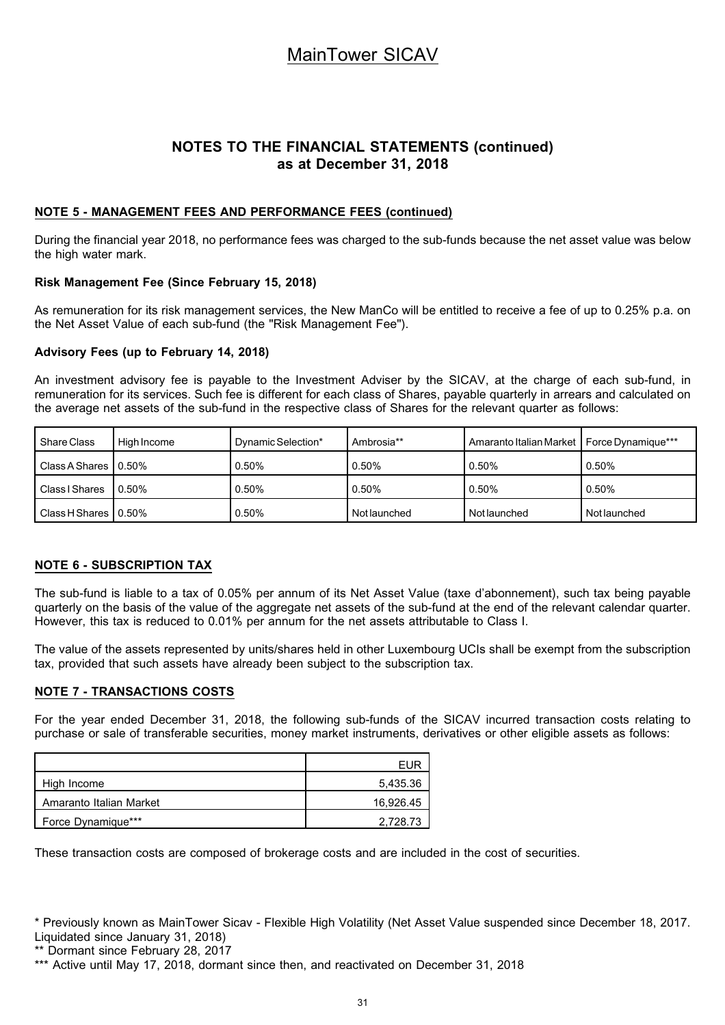### **NOTES TO THE FINANCIAL STATEMENTS (continued) as at December 31, 2018**

### **NOTE 5 - MANAGEMENT FEES AND PERFORMANCE FEES (continued)**

During the financial year 2018, no performance fees was charged to the sub-funds because the net asset value was below the high water mark.

### **Risk Management Fee (Since February 15, 2018)**

As remuneration for its risk management services, the New ManCo will be entitled to receive a fee of up to 0.25% p.a. on the Net Asset Value of each sub-fund (the "Risk Management Fee").

### **Advisory Fees (up to February 14, 2018)**

An investment advisory fee is payable to the Investment Adviser by the SICAV, at the charge of each sub-fund, in remuneration for its services. Such fee is different for each class of Shares, payable quarterly in arrears and calculated on the average net assets of the sub-fund in the respective class of Shares for the relevant quarter as follows:

| Share Class           | High Income | Dynamic Selection* | Ambrosia**   | Amaranto Italian Market   Force Dynamique*** |              |
|-----------------------|-------------|--------------------|--------------|----------------------------------------------|--------------|
| Class A Shares 10.50% |             | $0.50\%$           | 0.50%        | 0.50%                                        | 0.50%        |
| Class I Shares        | $0.50\%$    | $0.50\%$           | 0.50%        | 0.50%                                        | 0.50%        |
| Class H Shares 10.50% |             | $0.50\%$           | Not launched | Not launched                                 | Not launched |

### **NOTE 6 - SUBSCRIPTION TAX**

The sub-fund is liable to a tax of 0.05% per annum of its Net Asset Value (taxe d'abonnement), such tax being payable quarterly on the basis of the value of the aggregate net assets of the sub-fund at the end of the relevant calendar quarter. However, this tax is reduced to 0.01% per annum for the net assets attributable to Class I.

The value of the assets represented by units/shares held in other Luxembourg UCIs shall be exempt from the subscription tax, provided that such assets have already been subject to the subscription tax.

### **NOTE 7 - TRANSACTIONS COSTS**

For the year ended December 31, 2018, the following sub-funds of the SICAV incurred transaction costs relating to purchase or sale of transferable securities, money market instruments, derivatives or other eligible assets as follows:

|                         | FUR       |
|-------------------------|-----------|
| High Income             | 5,435.36  |
| Amaranto Italian Market | 16,926.45 |
| Force Dynamique***      | 2,728.73  |

These transaction costs are composed of brokerage costs and are included in the cost of securities.

<sup>\*</sup> Previously known as MainTower Sicav - Flexible High Volatility (Net Asset Value suspended since December 18, 2017. Liquidated since January 31, 2018)

<sup>\*\*</sup> Dormant since February 28, 2017

<sup>\*\*\*</sup> Active until May 17, 2018, dormant since then, and reactivated on December 31, 2018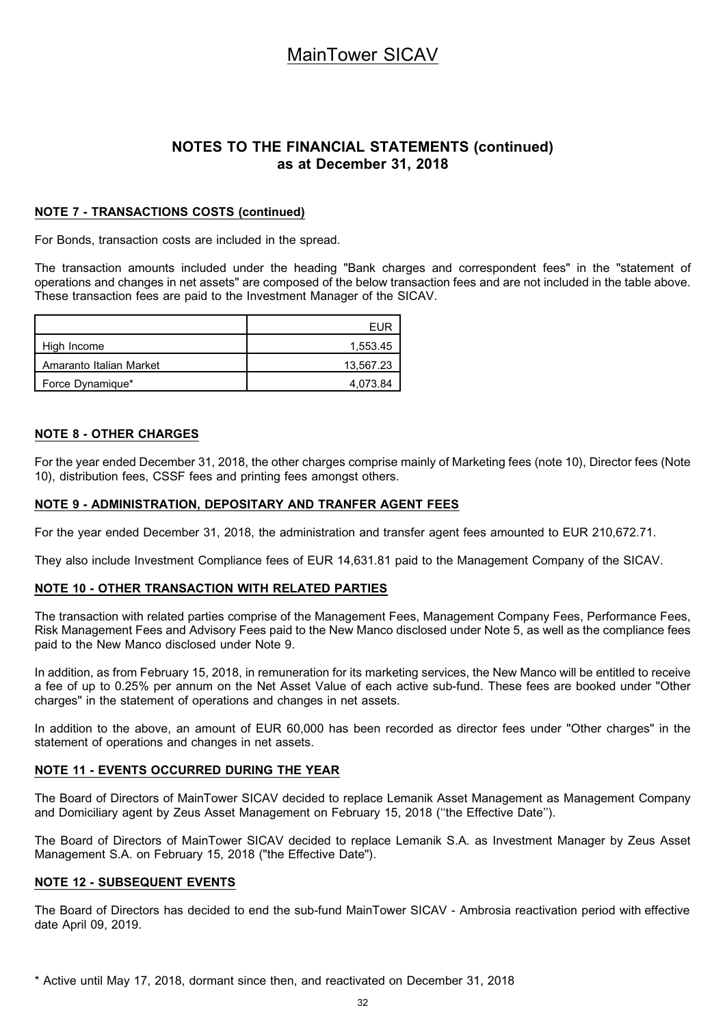### **NOTES TO THE FINANCIAL STATEMENTS (continued) as at December 31, 2018**

### **NOTE 7 - TRANSACTIONS COSTS (continued)**

For Bonds, transaction costs are included in the spread.

The transaction amounts included under the heading "Bank charges and correspondent fees" in the "statement of operations and changes in net assets" are composed of the below transaction fees and are not included in the table above. These transaction fees are paid to the Investment Manager of the SICAV.

|                         | <b>FUR</b> |
|-------------------------|------------|
| High Income             | 1.553.45   |
| Amaranto Italian Market | 13,567.23  |
| Force Dynamique*        | 4.073.84   |

### **NOTE 8 - OTHER CHARGES**

For the year ended December 31, 2018, the other charges comprise mainly of Marketing fees (note 10), Director fees (Note 10), distribution fees, CSSF fees and printing fees amongst others.

#### **NOTE 9 - ADMINISTRATION, DEPOSITARY AND TRANFER AGENT FEES**

For the year ended December 31, 2018, the administration and transfer agent fees amounted to EUR 210,672.71.

They also include Investment Compliance fees of EUR 14,631.81 paid to the Management Company of the SICAV.

### **NOTE 10 - OTHER TRANSACTION WITH RELATED PARTIES**

The transaction with related parties comprise of the Management Fees, Management Company Fees, Performance Fees, Risk Management Fees and Advisory Fees paid to the New Manco disclosed under Note 5, as well as the compliance fees paid to the New Manco disclosed under Note 9.

In addition, as from February 15, 2018, in remuneration for its marketing services, the New Manco will be entitled to receive a fee of up to 0.25% per annum on the Net Asset Value of each active sub-fund. These fees are booked under "Other charges" in the statement of operations and changes in net assets.

In addition to the above, an amount of EUR 60,000 has been recorded as director fees under "Other charges" in the statement of operations and changes in net assets.

### **NOTE 11 - EVENTS OCCURRED DURING THE YEAR**

The Board of Directors of MainTower SICAV decided to replace Lemanik Asset Management as Management Company and Domiciliary agent by Zeus Asset Management on February 15, 2018 (''the Effective Date'').

The Board of Directors of MainTower SICAV decided to replace Lemanik S.A. as Investment Manager by Zeus Asset Management S.A. on February 15, 2018 ("the Effective Date").

### **NOTE 12 - SUBSEQUENT EVENTS**

The Board of Directors has decided to end the sub-fund MainTower SICAV - Ambrosia reactivation period with effective date April 09, 2019.

\* Active until May 17, 2018, dormant since then, and reactivated on December 31, 2018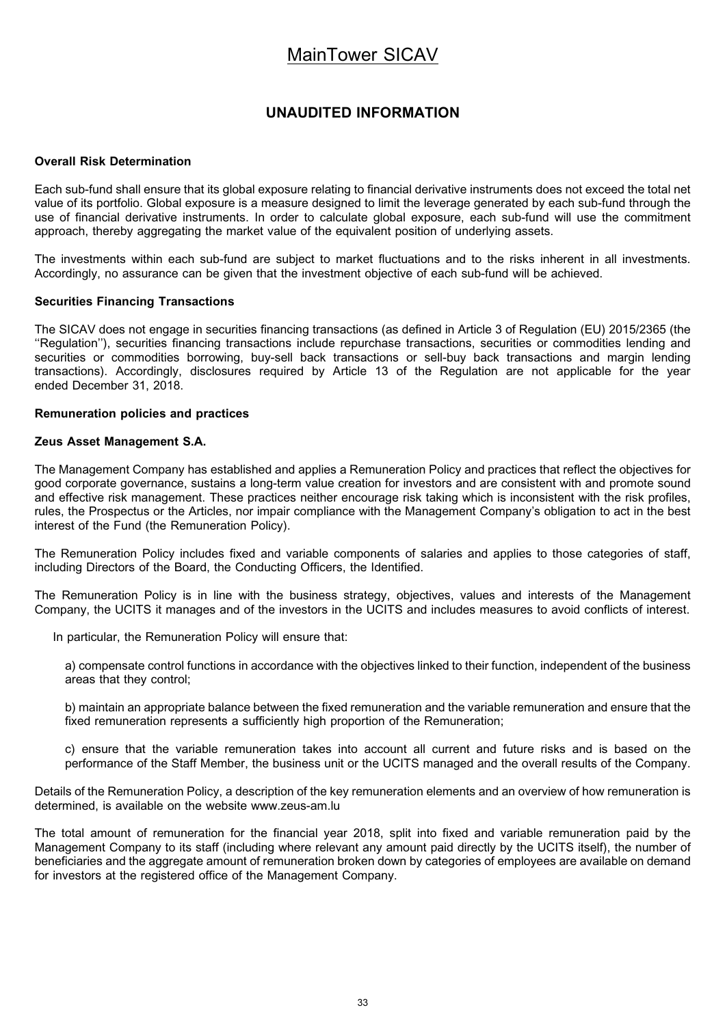### **UNAUDITED INFORMATION**

#### **Overall Risk Determination**

Each sub-fund shall ensure that its global exposure relating to financial derivative instruments does not exceed the total net value of its portfolio. Global exposure is a measure designed to limit the leverage generated by each sub-fund through the use of financial derivative instruments. In order to calculate global exposure, each sub-fund will use the commitment approach, thereby aggregating the market value of the equivalent position of underlying assets.

The investments within each sub-fund are subject to market fluctuations and to the risks inherent in all investments. Accordingly, no assurance can be given that the investment objective of each sub-fund will be achieved.

#### **Securities Financing Transactions**

The SICAV does not engage in securities financing transactions (as defined in Article 3 of Regulation (EU) 2015/2365 (the ''Regulation''), securities financing transactions include repurchase transactions, securities or commodities lending and securities or commodities borrowing, buy-sell back transactions or sell-buy back transactions and margin lending transactions). Accordingly, disclosures required by Article 13 of the Regulation are not applicable for the year ended December 31, 2018.

#### **Remuneration policies and practices**

#### **Zeus Asset Management S.A.**

The Management Company has established and applies a Remuneration Policy and practices that reflect the objectives for good corporate governance, sustains a long-term value creation for investors and are consistent with and promote sound and effective risk management. These practices neither encourage risk taking which is inconsistent with the risk profiles, rules, the Prospectus or the Articles, nor impair compliance with the Management Company's obligation to act in the best interest of the Fund (the Remuneration Policy).

The Remuneration Policy includes fixed and variable components of salaries and applies to those categories of staff, including Directors of the Board, the Conducting Officers, the Identified.

The Remuneration Policy is in line with the business strategy, objectives, values and interests of the Management Company, the UCITS it manages and of the investors in the UCITS and includes measures to avoid conflicts of interest.

In particular, the Remuneration Policy will ensure that:

a) compensate control functions in accordance with the objectives linked to their function, independent of the business areas that they control;

b) maintain an appropriate balance between the fixed remuneration and the variable remuneration and ensure that the fixed remuneration represents a sufficiently high proportion of the Remuneration;

c) ensure that the variable remuneration takes into account all current and future risks and is based on the performance of the Staff Member, the business unit or the UCITS managed and the overall results of the Company.

Details of the Remuneration Policy, a description of the key remuneration elements and an overview of how remuneration is determined, is available on the website www.zeus-am.lu

The total amount of remuneration for the financial year 2018, split into fixed and variable remuneration paid by the Management Company to its staff (including where relevant any amount paid directly by the UCITS itself), the number of beneficiaries and the aggregate amount of remuneration broken down by categories of employees are available on demand for investors at the registered office of the Management Company.